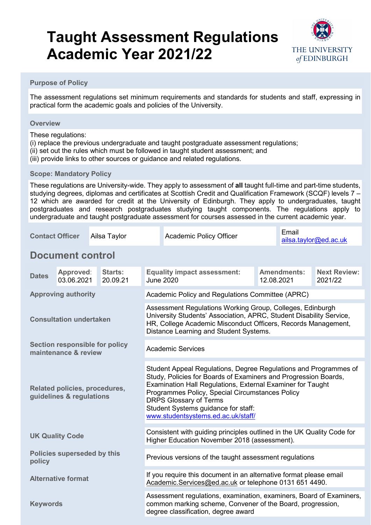

#### **Purpose of Policy**

The assessment regulations set minimum requirements and standards for students and staff, expressing in practical form the academic goals and policies of the University.

#### **Overview**

These regulations:

- (i) replace the previous undergraduate and taught postgraduate assessment regulations;
- (ii) set out the rules which must be followed in taught student assessment; and
- (iii) provide links to other sources or guidance and related regulations.

#### **Scope: Mandatory Policy**

These regulations are University-wide. They apply to assessment of **all** taught full-time and part-time students, studying degrees, diplomas and certificates at Scottish Credit and Qualification Framework (SCQF) levels 7 – 12 which are awarded for credit at the University of Edinburgh. They apply to undergraduates, taught postgraduates and research postgraduates studying taught components. The regulations apply to undergraduate and taught postgraduate assessment for courses assessed in the current academic year.

| <b>Contact Officer</b>                                    |                         | Ailsa Taylor               |  |                                                                                                                                                                                                                                                                                                                                                                    | <b>Academic Policy Officer</b>                         |  | Email<br>ailsa.taylor@ed.ac.uk   |                                |
|-----------------------------------------------------------|-------------------------|----------------------------|--|--------------------------------------------------------------------------------------------------------------------------------------------------------------------------------------------------------------------------------------------------------------------------------------------------------------------------------------------------------------------|--------------------------------------------------------|--|----------------------------------|--------------------------------|
|                                                           | <b>Document control</b> |                            |  |                                                                                                                                                                                                                                                                                                                                                                    |                                                        |  |                                  |                                |
| <b>Dates</b>                                              | Approved:<br>03.06.2021 | <b>Starts:</b><br>20.09.21 |  |                                                                                                                                                                                                                                                                                                                                                                    | <b>Equality impact assessment:</b><br><b>June 2020</b> |  | <b>Amendments:</b><br>12.08.2021 | <b>Next Review:</b><br>2021/22 |
| <b>Approving authority</b>                                |                         |                            |  | Academic Policy and Regulations Committee (APRC)                                                                                                                                                                                                                                                                                                                   |                                                        |  |                                  |                                |
| <b>Consultation undertaken</b>                            |                         |                            |  | Assessment Regulations Working Group, Colleges, Edinburgh<br>University Students' Association, APRC, Student Disability Service,<br>HR, College Academic Misconduct Officers, Records Management,<br>Distance Learning and Student Systems.                                                                                                                        |                                                        |  |                                  |                                |
| Section responsible for policy<br>maintenance & review    |                         |                            |  | <b>Academic Services</b>                                                                                                                                                                                                                                                                                                                                           |                                                        |  |                                  |                                |
| Related policies, procedures,<br>guidelines & regulations |                         |                            |  | Student Appeal Regulations, Degree Regulations and Programmes of<br>Study, Policies for Boards of Examiners and Progression Boards,<br>Examination Hall Regulations, External Examiner for Taught<br>Programmes Policy, Special Circumstances Policy<br><b>DRPS Glossary of Terms</b><br>Student Systems guidance for staff:<br>www.studentsystems.ed.ac.uk/staff/ |                                                        |  |                                  |                                |
| <b>UK Quality Code</b>                                    |                         |                            |  | Consistent with guiding principles outlined in the UK Quality Code for<br>Higher Education November 2018 (assessment).                                                                                                                                                                                                                                             |                                                        |  |                                  |                                |
| Policies superseded by this<br>policy                     |                         |                            |  | Previous versions of the taught assessment regulations                                                                                                                                                                                                                                                                                                             |                                                        |  |                                  |                                |
| <b>Alternative format</b>                                 |                         |                            |  | If you require this document in an alternative format please email<br>Academic.Services@ed.ac.uk or telephone 0131 651 4490.                                                                                                                                                                                                                                       |                                                        |  |                                  |                                |
| <b>Keywords</b>                                           |                         |                            |  | Assessment regulations, examination, examiners, Board of Examiners,<br>common marking scheme, Convener of the Board, progression,<br>degree classification, degree award                                                                                                                                                                                           |                                                        |  |                                  |                                |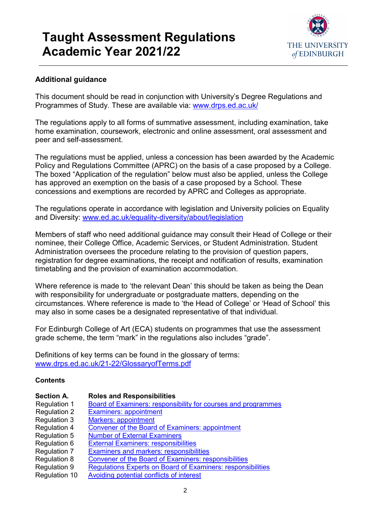

### **Additional guidance**

This document should be read in conjunction with University's Degree Regulations and Programmes of Study. These are available via: [www.drps.ed.ac.uk/](http://www.drps.ed.ac.uk/)

The regulations apply to all forms of summative assessment, including examination, take home examination, coursework, electronic and online assessment, oral assessment and peer and self-assessment.

The regulations must be applied, unless a concession has been awarded by the Academic Policy and Regulations Committee (APRC) on the basis of a case proposed by a College. The boxed "Application of the regulation" below must also be applied, unless the College has approved an exemption on the basis of a case proposed by a School. These concessions and exemptions are recorded by APRC and Colleges as appropriate.

The regulations operate in accordance with legislation and University policies on Equality and Diversity: [www.ed.ac.uk/equality-diversity/about/legislation](http://www.ed.ac.uk/equality-diversity/about/legislation)

Members of staff who need additional guidance may consult their Head of College or their nominee, their College Office, Academic Services, or Student Administration. Student Administration oversees the procedure relating to the provision of question papers, registration for degree examinations, the receipt and notification of results, examination timetabling and the provision of examination accommodation.

Where reference is made to 'the relevant Dean' this should be taken as being the Dean with responsibility for undergraduate or postgraduate matters, depending on the circumstances. Where reference is made to 'the Head of College' or 'Head of School' this may also in some cases be a designated representative of that individual.

For Edinburgh College of Art (ECA) students on programmes that use the assessment grade scheme, the term "mark" in the regulations also includes "grade".

Definitions of key terms can be found in the glossary of terms: [www.drps.ed.ac.uk/21-22/GlossaryofTerms.pdf](http://www.drps.ed.ac.uk/21-22/GlossaryofTerms.pdf)

#### **Contents**

| <b>Section A.</b>   | <b>Roles and Responsibilities</b>                                    |
|---------------------|----------------------------------------------------------------------|
| Regulation 1        | <b>Board of Examiners: responsibility for courses and programmes</b> |
| <b>Regulation 2</b> | <b>Examiners: appointment</b>                                        |
| Regulation 3        | <b>Markers: appointment</b>                                          |
| Regulation 4        | <b>Convener of the Board of Examiners: appointment</b>               |
| Regulation 5        | <b>Number of External Examiners</b>                                  |
| Regulation 6        | <b>External Examiners: responsibilities</b>                          |
| Regulation 7        | <b>Examiners and markers: responsibilities</b>                       |
| <b>Regulation 8</b> | <b>Convener of the Board of Examiners: responsibilities</b>          |
| Regulation 9        | Regulations Experts on Board of Examiners: responsibilities          |

Regulation 10 [Avoiding potential conflicts of interest](#page-9-0)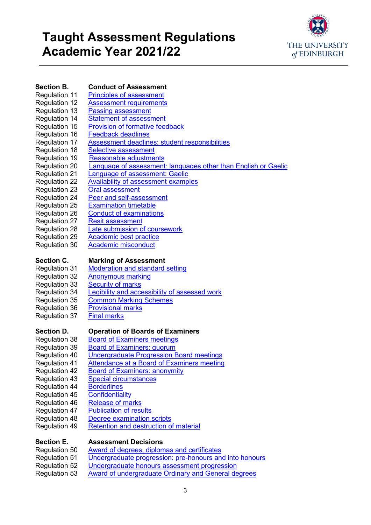

### **Section B. Conduct of Assessment**<br>Regulation 11 Principles of assessment

- [Principles of assessment](#page-10-0)
- Regulation 12 [Assessment requirements](#page-11-0)
- Regulation 13 [Passing assessment](#page-11-1)
- Regulation 14 [Statement of assessment](#page-12-0)<br>Regulation 15 Provision of formative feed
	- [Provision of formative feedback](#page-13-0)
- Regulation 16 [Feedback deadlines](#page-13-1)<br>Regulation 17 Assessment deadline
	- [Assessment deadlines: student responsibilities](#page-14-0)
- Regulation 18 [Selective assessment](#page-15-0)
- Regulation 19 [Reasonable adjustments](#page-15-1)
- Regulation 20 [Language of assessment: languages other than English or Gaelic](#page-16-0)<br>Regulation 21 Language of assessment: Gaelic
- Regulation 21 [Language of assessment: Gaelic](#page-17-0)<br>Regulation 22 Availability of assessment examp
- Regulation 22 [Availability of assessment examples](#page-17-1)<br>Regulation 23 Oral assessment
	- [Oral assessment](#page-18-0)
- Regulation 24 [Peer and self-assessment](#page-18-1)<br>Regulation 25 Examination timetable
	-
- Regulation 25 [Examination timetable](#page-18-2)<br>Regulation 26 Conduct of examinatio
- Regulation 26 [Conduct of examinations](#page-19-0)<br>Regulation 27 Resit assessment **[Resit assessment](#page-20-0)**
- Regulation 28 [Late submission](#page-23-0) of coursework<br>Regulation 29 Academic best practice
- 
- Regulation 30 [Academic misconduct](#page-26-0)

# **Section C. Marking of Assessment**<br>Regulation 31 Moderation and standard

**Moderation [and standard setting](#page-28-0)** 

[Academic best practice](#page-25-0)

- Regulation 32 [Anonymous marking](#page-29-0)<br>Regulation 33 Security of marks
- **[Security of marks](#page-29-1)**
- Regulation 34 [Legibility and accessibility of assessed work](#page-30-0)
- Regulation 35 [Common Marking Schemes](#page-31-0)
- Regulation 36 [Provisional marks](#page-31-1)
- Regulation 37 [Final marks](#page-32-0)
	-

- **Section D. Condensignal Departion of Boards of Examiners**<br>Regulation 38 Board of Examiners meetings **[Board of Examiners meetings](#page-33-0)**
- Regulation 39 [Board of Examiners: quorum](#page-33-1)
- Regulation 40 [Undergraduate Progression Board meetings](#page-34-0)
- Regulation 41 [Attendance at a Board of Examiners meeting](#page-34-1)
- Regulation 42 [Board of Examiners: anonymity](#page-35-0)<br>Regulation 43 Special circumstances
- 
- [Special circumstances](#page-35-1)<br>Borderlines Regulation 44 **[Borderlines](#page-36-0)**<br>Regulation 45 **Confidentiality**
- **Regulation 45**
- Regulation 46 [Release of marks](#page-37-1)
- Regulation 47 [Publication of results](#page-38-0)
	-
- Regulation 48 [Degree examination scripts](#page-40-0)<br>Regulation 49 Retention and destruction o [Retention and destruction of material](#page-40-1)

# **Section E. Assessment Decisions**<br>**Regulation 50** Award of degrees, diplom

- [Award of degrees, diplomas and certificates](#page-42-0)
- Regulation 51 [Undergraduate progression: pre-honours and into honours](#page-42-1)
- Regulation 52 [Undergraduate honours assessment progression](#page-42-2)
- Regulation 53 [Award of undergraduate Ordinary and General degrees](#page-43-0)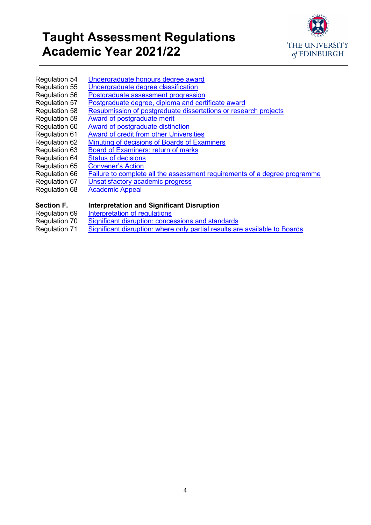

- Regulation 54 [Undergraduate honours degree award](#page-44-0)<br>Regulation 55 Undergraduate degree classification Regulation 55 [Undergraduate degree classification](#page-45-0)<br>Regulation 56 Postgraduate assessment progression
	- [Postgraduate assessment progression](#page-46-0)
- Regulation 57 [Postgraduate degree, diploma and certificate award](#page-48-0)
- Regulation 58 [Resubmission of postgraduate dissertations](#page-50-0) or research projects
- Regulation 59 [Award of postgraduate merit](#page-51-0)<br>Regulation 60 Award of postgraduate distinent
- Regulation 60 [Award of postgraduate distinction](#page-52-0)<br>Regulation 61 Award of credit from other Univers
- Regulation 61 [Award of credit from other Universities](#page-53-0)<br>Regulation 62 Minuting of decisions of Boards of Exa
	- [Minuting of decisions of Boards of Examiners](#page-54-0)
- Regulation 63 [Board of Examiners: return of marks](#page-55-0)
- Regulation 64 [Status of decisions](#page-55-1)
	-
- Regulation 65 [Convener's Action](#page-56-0)<br>Regulation 66 Failure to complete Regulation 66 [Failure to complete all the assessment requirements of a degree programme](#page-57-0)<br>Regulation 67 Unsatisfactory academic progress
- Regulation 67 <u>[Unsatisfactory academic progress](#page-58-0)</u><br>Regulation 68 <u>Academic Appeal</u>
	- **[Academic](#page-58-1) Appeal**

# **Section F. Interpretation and Significant Disruption**<br>Regulation 69 Interpretation of regulations

- [Interpretation of regulations](#page-59-0)
- Regulation 70 Significant disruption: [concessions and standards](#page-59-1)
- 
- Regulation 71 Significant disruption: where [only partial results are available to Boards](#page-60-0)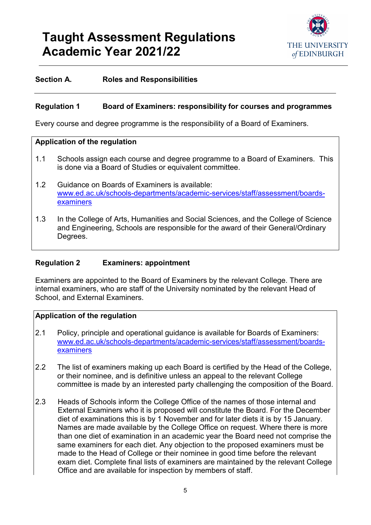

#### **Section A. Roles and Responsibilities**

#### <span id="page-4-0"></span>**Regulation 1 Board of Examiners: responsibility for courses and programmes**

Every course and degree programme is the responsibility of a Board of Examiners.

#### **Application of the regulation**

- 1.1 Schools assign each course and degree programme to a Board of Examiners. This is done via a Board of Studies or equivalent committee.
- 1.2 Guidance on Boards of Examiners is available: [www.ed.ac.uk/schools-departments/academic-services/staff/assessment/boards](http://www.ed.ac.uk/schools-departments/academic-services/staff/assessment/boards-examiners)[examiners](http://www.ed.ac.uk/schools-departments/academic-services/staff/assessment/boards-examiners)
- 1.3 In the College of Arts, Humanities and Social Sciences, and the College of Science and Engineering, Schools are responsible for the award of their General/Ordinary Degrees.

#### <span id="page-4-1"></span>**Regulation 2 Examiners: appointment**

Examiners are appointed to the Board of Examiners by the relevant College. There are internal examiners, who are staff of the University nominated by the relevant Head of School, and External Examiners.

- 2.1 Policy, principle and operational guidance is available for Boards of Examiners: [www.ed.ac.uk/schools-departments/academic-services/staff/assessment/boards](http://www.ed.ac.uk/schools-departments/academic-services/staff/assessment/boards-examiners)**[examiners](http://www.ed.ac.uk/schools-departments/academic-services/staff/assessment/boards-examiners)**
- 2.2 The list of examiners making up each Board is certified by the Head of the College, or their nominee, and is definitive unless an appeal to the relevant College committee is made by an interested party challenging the composition of the Board.
- 2.3 Heads of Schools inform the College Office of the names of those internal and External Examiners who it is proposed will constitute the Board. For the December diet of examinations this is by 1 November and for later diets it is by 15 January. Names are made available by the College Office on request. Where there is more than one diet of examination in an academic year the Board need not comprise the same examiners for each diet. Any objection to the proposed examiners must be made to the Head of College or their nominee in good time before the relevant exam diet. Complete final lists of examiners are maintained by the relevant College Office and are available for inspection by members of staff.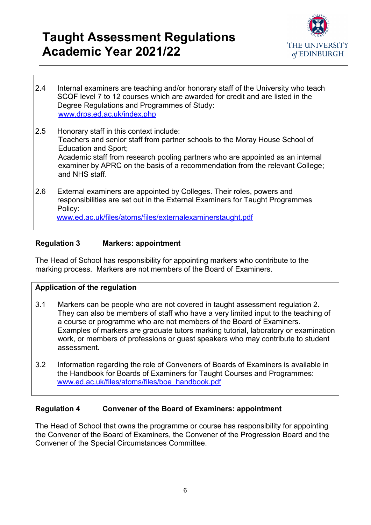

- 2.4 Internal examiners are teaching and/or honorary staff of the University who teach SCQF level 7 to 12 courses which are awarded for credit and are listed in the Degree Regulations and Programmes of Study: [www.drps.ed.ac.uk/index.php](http://www.drps.ed.ac.uk/index.php)
- 2.5 Honorary staff in this context include: Teachers and senior staff from partner schools to the Moray House School of Education and Sport; Academic staff from research pooling partners who are appointed as an internal examiner by APRC on the basis of a recommendation from the relevant College; and NHS staff.
- 2.6 External examiners are appointed by Colleges. Their roles, powers and responsibilities are set out in the External Examiners for Taught Programmes Policy: [www.ed.ac.uk/files/atoms/files/externalexaminerstaught.pdf](http://www.ed.ac.uk/files/atoms/files/externalexaminerstaught.pdf)

#### <span id="page-5-0"></span>**Regulation 3 Markers: appointment**

The Head of School has responsibility for appointing markers who contribute to the marking process. Markers are not members of the Board of Examiners.

#### **Application of the regulation**

- 3.1 Markers can be people who are not covered in taught assessment regulation 2. They can also be members of staff who have a very limited input to the teaching of a course or programme who are not members of the Board of Examiners. Examples of markers are graduate tutors marking tutorial, laboratory or examination work, or members of professions or guest speakers who may contribute to student assessment.
- 3.2 Information regarding the role of Conveners of Boards of Examiners is available in the Handbook for Boards of Examiners for Taught Courses and Programmes: [www.ed.ac.uk/files/atoms/files/boe\\_handbook.pdf](http://www.ed.ac.uk/files/atoms/files/boe_handbook.pdf)

### <span id="page-5-1"></span>**Regulation 4 Convener of the Board of Examiners: appointment**

The Head of School that owns the programme or course has responsibility for appointing the Convener of the Board of Examiners, the Convener of the Progression Board and the Convener of the Special Circumstances Committee.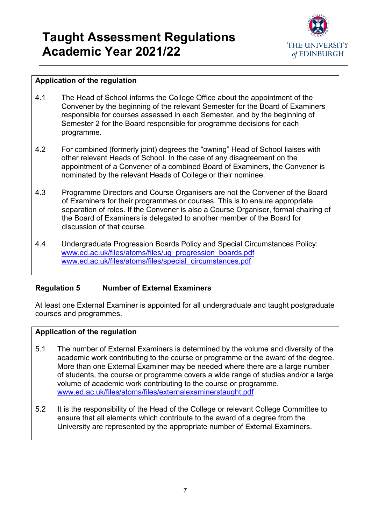

### **Application of the regulation**

- 4.1 The Head of School informs the College Office about the appointment of the Convener by the beginning of the relevant Semester for the Board of Examiners responsible for courses assessed in each Semester, and by the beginning of Semester 2 for the Board responsible for programme decisions for each programme.
- 4.2 For combined (formerly joint) degrees the "owning" Head of School liaises with other relevant Heads of School. In the case of any disagreement on the appointment of a Convener of a combined Board of Examiners, the Convener is nominated by the relevant Heads of College or their nominee.
- 4.3 Programme Directors and Course Organisers are not the Convener of the Board of Examiners for their programmes or courses. This is to ensure appropriate separation of roles. If the Convener is also a Course Organiser, formal chairing of the Board of Examiners is delegated to another member of the Board for discussion of that course.
- 4.4 Undergraduate Progression Boards Policy and Special Circumstances Policy: [www.ed.ac.uk/files/atoms/files/ug\\_progression\\_boards.pdf](http://www.ed.ac.uk/files/atoms/files/ug_progression_boards.pdf) [www.ed.ac.uk/files/atoms/files/special\\_circumstances.pdf](http://www.ed.ac.uk/files/atoms/files/special_circumstances.pdf)

### <span id="page-6-0"></span>**Regulation 5 Number of External Examiners**

At least one External Examiner is appointed for all undergraduate and taught postgraduate courses and programmes.

- 5.1 The number of External Examiners is determined by the volume and diversity of the academic work contributing to the course or programme or the award of the degree. More than one External Examiner may be needed where there are a large number of students, the course or programme covers a wide range of studies and/or a large volume of academic work contributing to the course or programme. [www.ed.ac.uk/files/atoms/files/externalexaminerstaught.pdf](http://www.ed.ac.uk/files/atoms/files/externalexaminerstaught.pdf)
- <span id="page-6-1"></span>5.2 It is the responsibility of the Head of the College or relevant College Committee to ensure that all elements which contribute to the award of a degree from the University are represented by the appropriate number of External Examiners.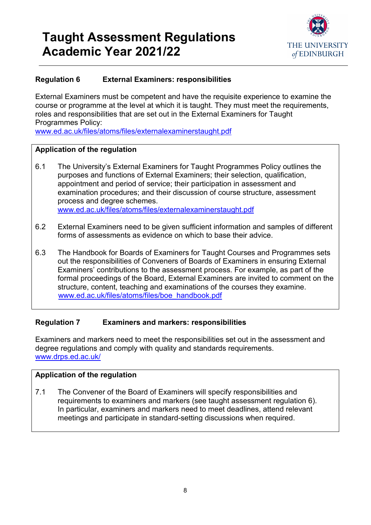

### **Regulation 6 External Examiners: responsibilities**

External Examiners must be competent and have the requisite experience to examine the course or programme at the level at which it is taught. They must meet the requirements, roles and responsibilities that are set out in the External Examiners for Taught Programmes Policy:

[www.ed.ac.uk/files/atoms/files/externalexaminerstaught.pdf](http://www.ed.ac.uk/files/atoms/files/externalexaminerstaught.pdf)

### **Application of the regulation**

- 6.1 The University's External Examiners for Taught Programmes Policy outlines the purposes and functions of External Examiners; their selection, qualification, appointment and period of service; their participation in assessment and examination procedures; and their discussion of course structure, assessment process and degree schemes. [www.ed.ac.uk/files/atoms/files/externalexaminerstaught.pdf](http://www.ed.ac.uk/files/atoms/files/externalexaminerstaught.pdf)
- 6.2 External Examiners need to be given sufficient information and samples of different forms of assessments as evidence on which to base their advice.
- 6.3 The Handbook for Boards of Examiners for Taught Courses and Programmes sets out the responsibilities of Conveners of Boards of Examiners in ensuring External Examiners' contributions to the assessment process. For example, as part of the formal proceedings of the Board, External Examiners are invited to comment on the structure, content, teaching and examinations of the courses they examine. [www.ed.ac.uk/files/atoms/files/boe\\_handbook.pdf](http://www.ed.ac.uk/files/atoms/files/boe_handbook.pdf)

### <span id="page-7-0"></span>**Regulation 7 Examiners and markers: responsibilities**

Examiners and markers need to meet the responsibilities set out in the assessment and degree regulations and comply with quality and standards requirements. [www.drps.ed.ac.uk/](http://www.drps.ed.ac.uk/)

### **Application of the regulation**

<span id="page-7-1"></span>7.1 The Convener of the Board of Examiners will specify responsibilities and requirements to examiners and markers (see taught assessment regulation 6). In particular, examiners and markers need to meet deadlines, attend relevant meetings and participate in standard-setting discussions when required.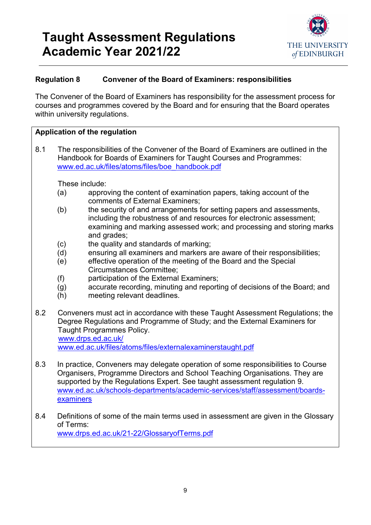

### **Regulation 8 Convener of the Board of Examiners: responsibilities**

The Convener of the Board of Examiners has responsibility for the assessment process for courses and programmes covered by the Board and for ensuring that the Board operates within university regulations.

#### **Application of the regulation**

8.1 The responsibilities of the Convener of the Board of Examiners are outlined in the Handbook for Boards of Examiners for Taught Courses and Programmes: [www.ed.ac.uk/files/atoms/files/boe\\_handbook.pdf](http://www.ed.ac.uk/files/atoms/files/boe_handbook.pdf)

These include:

- (a) approving the content of examination papers, taking account of the comments of External Examiners;
- (b) the security of and arrangements for setting papers and assessments, including the robustness of and resources for electronic assessment; examining and marking assessed work; and processing and storing marks and grades;
- (c) the quality and standards of marking;
- (d) ensuring all examiners and markers are aware of their responsibilities;
- (e) effective operation of the meeting of the Board and the Special Circumstances Committee;
- (f) participation of the External Examiners;
- (g) accurate recording, minuting and reporting of decisions of the Board; and
- (h) meeting relevant deadlines.
- 8.2 Conveners must act in accordance with these Taught Assessment Regulations; the Degree Regulations and Programme of Study; and the External Examiners for Taught Programmes Policy. [www.drps.ed.ac.uk/](http://www.drps.ed.ac.uk/)

[www.ed.ac.uk/files/atoms/files/externalexaminerstaught.pdf](http://www.ed.ac.uk/files/atoms/files/externalexaminerstaught.pdf)

- 8.3 In practice, Conveners may delegate operation of some responsibilities to Course Organisers, Programme Directors and School Teaching Organisations. They are supported by the Regulations Expert. See taught assessment regulation 9. [www.ed.ac.uk/schools-departments/academic-services/staff/assessment/boards](http://www.ed.ac.uk/schools-departments/academic-services/staff/assessment/boards-examiners)[examiners](http://www.ed.ac.uk/schools-departments/academic-services/staff/assessment/boards-examiners)
- <span id="page-8-0"></span>8.4 Definitions of some of the main terms used in assessment are given in the Glossary of Terms: [www.drps.ed.ac.uk/21-22/GlossaryofTerms.pdf](http://www.drps.ed.ac.uk/21-22/GlossaryofTerms.pdf)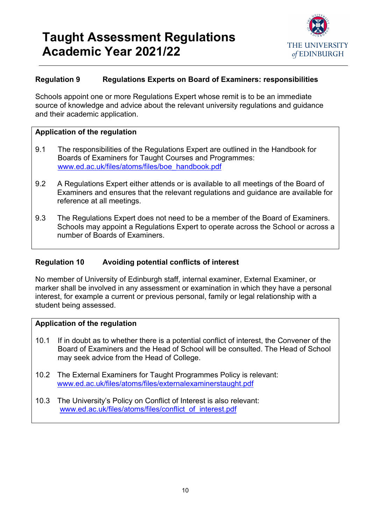

#### **Regulation 9 Regulations Experts on Board of Examiners: responsibilities**

Schools appoint one or more Regulations Expert whose remit is to be an immediate source of knowledge and advice about the relevant university regulations and guidance and their academic application.

#### **Application of the regulation**

- 9.1 The responsibilities of the Regulations Expert are outlined in the Handbook for Boards of Examiners for Taught Courses and Programmes: [www.ed.ac.uk/files/atoms/files/boe\\_handbook.pdf](http://www.ed.ac.uk/files/atoms/files/boe_handbook.pdf)
- 9.2 A Regulations Expert either attends or is available to all meetings of the Board of Examiners and ensures that the relevant regulations and guidance are available for reference at all meetings.
- 9.3 The Regulations Expert does not need to be a member of the Board of Examiners. Schools may appoint a Regulations Expert to operate across the School or across a number of Boards of Examiners.

#### <span id="page-9-0"></span>**Regulation 10 Avoiding potential conflicts of interest**

No member of University of Edinburgh staff, internal examiner, External Examiner, or marker shall be involved in any assessment or examination in which they have a personal interest, for example a current or previous personal, family or legal relationship with a student being assessed.

- 10.1 If in doubt as to whether there is a potential conflict of interest, the Convener of the Board of Examiners and the Head of School will be consulted. The Head of School may seek advice from the Head of College.
- 10.2 The External Examiners for Taught Programmes Policy is relevant: [www.ed.ac.uk/files/atoms/files/externalexaminerstaught.pdf](http://www.ed.ac.uk/files/atoms/files/externalexaminerstaught.pdf)
- 10.3 The University's Policy on Conflict of Interest is also relevant: [www.ed.ac.uk/files/atoms/files/conflict\\_of\\_interest.pdf](http://www.ed.ac.uk/files/atoms/files/conflict_of_interest.pdf)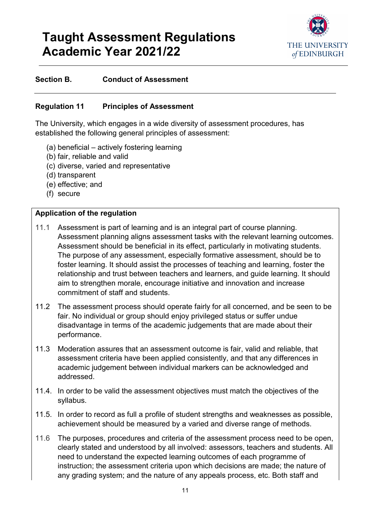

#### **Section B. Conduct of Assessment**

#### <span id="page-10-0"></span>**Regulation 11 Principles of Assessment**

The University, which engages in a wide diversity of assessment procedures, has established the following general principles of assessment:

- (a) beneficial actively fostering learning
- (b) fair, reliable and valid
- (c) diverse, varied and representative
- (d) transparent
- (e) effective; and
- (f) secure

- 11.1 Assessment is part of learning and is an integral part of course planning. Assessment planning aligns assessment tasks with the relevant learning outcomes. Assessment should be beneficial in its effect, particularly in motivating students. The purpose of any assessment, especially formative assessment, should be to foster learning. It should assist the processes of teaching and learning, foster the relationship and trust between teachers and learners, and guide learning. It should aim to strengthen morale, encourage initiative and innovation and increase commitment of staff and students.
- 11.2 The assessment process should operate fairly for all concerned, and be seen to be fair. No individual or group should enjoy privileged status or suffer undue disadvantage in terms of the academic judgements that are made about their performance.
- 11.3 Moderation assures that an assessment outcome is fair, valid and reliable, that assessment criteria have been applied consistently, and that any differences in academic judgement between individual markers can be acknowledged and addressed.
- 11.4. In order to be valid the assessment objectives must match the objectives of the syllabus.
- 11.5. In order to record as full a profile of student strengths and weaknesses as possible, achievement should be measured by a varied and diverse range of methods.
- 11.6 The purposes, procedures and criteria of the assessment process need to be open, clearly stated and understood by all involved: assessors, teachers and students. All need to understand the expected learning outcomes of each programme of instruction; the assessment criteria upon which decisions are made; the nature of any grading system; and the nature of any appeals process, etc. Both staff and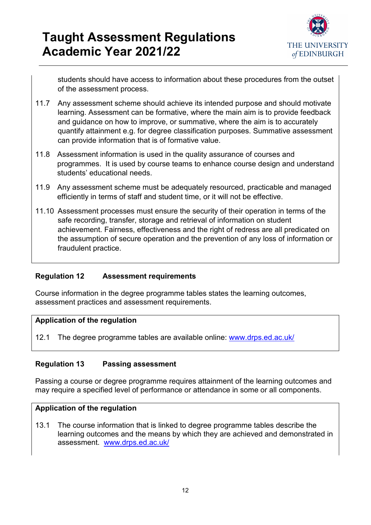

students should have access to information about these procedures from the outset of the assessment process.

- 11.7 Any assessment scheme should achieve its intended purpose and should motivate learning. Assessment can be formative, where the main aim is to provide feedback and guidance on how to improve, or summative, where the aim is to accurately quantify attainment e.g. for degree classification purposes. Summative assessment can provide information that is of formative value.
- 11.8 Assessment information is used in the quality assurance of courses and programmes. It is used by course teams to enhance course design and understand students' educational needs.
- 11.9 Any assessment scheme must be adequately resourced, practicable and managed efficiently in terms of staff and student time, or it will not be effective.
- 11.10 Assessment processes must ensure the security of their operation in terms of the safe recording, transfer, storage and retrieval of information on student achievement. Fairness, effectiveness and the right of redress are all predicated on the assumption of secure operation and the prevention of any loss of information or fraudulent practice.

### <span id="page-11-0"></span>**Regulation 12 Assessment requirements**

Course information in the degree programme tables states the learning outcomes, assessment practices and assessment requirements.

#### **Application of the regulation**

12.1 The degree programme tables are available online: [www.drps.ed.ac.uk/](http://www.drps.ed.ac.uk/)

### <span id="page-11-1"></span>**Regulation 13 Passing assessment**

Passing a course or degree programme requires attainment of the learning outcomes and may require a specified level of performance or attendance in some or all components.

#### **Application of the regulation**

13.1 The course information that is linked to degree programme tables describe the learning outcomes and the means by which they are achieved and demonstrated in assessment. [www.drps.ed.ac.uk/](http://www.drps.ed.ac.uk/)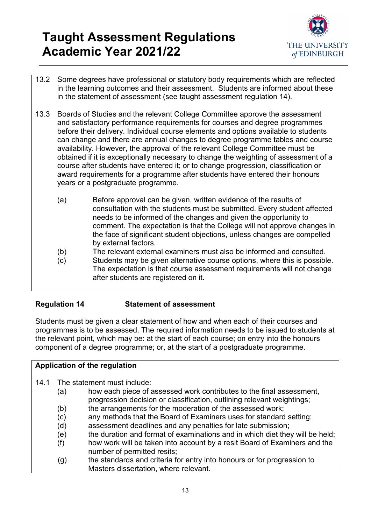

- 13.2 Some degrees have professional or statutory body requirements which are reflected in the learning outcomes and their assessment. Students are informed about these in the statement of assessment (see taught assessment regulation 14).
- 13.3 Boards of Studies and the relevant College Committee approve the assessment and satisfactory performance requirements for courses and degree programmes before their delivery. Individual course elements and options available to students can change and there are annual changes to degree programme tables and course availability. However, the approval of the relevant College Committee must be obtained if it is exceptionally necessary to change the weighting of assessment of a course after students have entered it; or to change progression, classification or award requirements for a programme after students have entered their honours years or a postgraduate programme.
	- (a) Before approval can be given, written evidence of the results of consultation with the students must be submitted. Every student affected needs to be informed of the changes and given the opportunity to comment. The expectation is that the College will not approve changes in the face of significant student objections, unless changes are compelled by external factors.
	- (b) The relevant external examiners must also be informed and consulted.
	- (c) Students may be given alternative course options, where this is possible. The expectation is that course assessment requirements will not change after students are registered on it.

### <span id="page-12-0"></span>**Regulation 14 Statement of assessment**

Students must be given a clear statement of how and when each of their courses and programmes is to be assessed. The required information needs to be issued to students at the relevant point, which may be: at the start of each course; on entry into the honours component of a degree programme; or, at the start of a postgraduate programme.

- 14.1 The statement must include:
	- (a) how each piece of assessed work contributes to the final assessment, progression decision or classification, outlining relevant weightings;
	- (b) the arrangements for the moderation of the assessed work;
	- (c) any methods that the Board of Examiners uses for standard setting;
	- (d) assessment deadlines and any penalties for late submission;
	- (e) the duration and format of examinations and in which diet they will be held;
	- (f) how work will be taken into account by a resit Board of Examiners and the number of permitted resits;
	- (g) the standards and criteria for entry into honours or for progression to Masters dissertation, where relevant.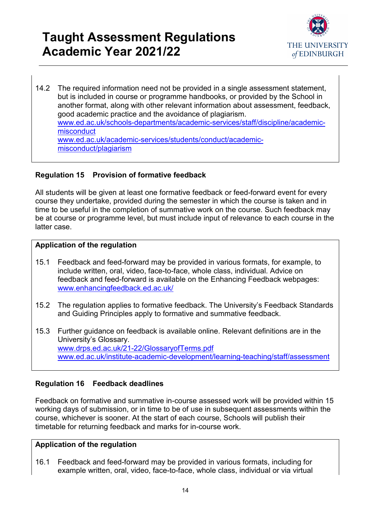

14.2 The required information need not be provided in a single assessment statement, but is included in course or programme handbooks, or provided by the School in another format, along with other relevant information about assessment, feedback, good academic practice and the avoidance of plagiarism. [www.ed.ac.uk/schools-departments/academic-services/staff/discipline/academic](http://www.ed.ac.uk/schools-departments/academic-services/staff/discipline/academic-misconduct)[misconduct](http://www.ed.ac.uk/schools-departments/academic-services/staff/discipline/academic-misconduct) [www.ed.ac.uk/academic-services/students/conduct/academic](http://www.ed.ac.uk/academic-services/students/conduct/academic-misconduct/plagiarism)[misconduct/plagiarism](http://www.ed.ac.uk/academic-services/students/conduct/academic-misconduct/plagiarism)

### <span id="page-13-0"></span>**Regulation 15 Provision of formative feedback**

All students will be given at least one formative feedback or feed-forward event for every course they undertake, provided during the semester in which the course is taken and in time to be useful in the completion of summative work on the course. Such feedback may be at course or programme level, but must include input of relevance to each course in the latter case.

#### **Application of the regulation**

- 15.1 Feedback and feed-forward may be provided in various formats, for example, to include written, oral, video, face-to-face, whole class, individual. Advice on feedback and feed-forward is available on the Enhancing Feedback webpages: [www.enhancingfeedback.ed.ac.uk/](http://www.enhancingfeedback.ed.ac.uk/)
- 15.2 The regulation applies to formative feedback. The University's Feedback Standards and Guiding Principles apply to formative and summative feedback.
- 15.3 Further guidance on feedback is available online. Relevant definitions are in the University's Glossary. [www.drps.ed.ac.uk/21-22/GlossaryofTerms.pdf](http://www.drps.ed.ac.uk/21-22/GlossaryofTerms.pdf) [www.ed.ac.uk/institute-academic-development/learning-teaching/staff/assessment](http://www.ed.ac.uk/institute-academic-development/learning-teaching/staff/assessment)

### <span id="page-13-1"></span>**Regulation 16 Feedback deadlines**

Feedback on formative and summative in-course assessed work will be provided within 15 working days of submission, or in time to be of use in subsequent assessments within the course, whichever is sooner. At the start of each course, Schools will publish their timetable for returning feedback and marks for in-course work.

#### **Application of the regulation**

16.1 Feedback and feed-forward may be provided in various formats, including for example written, oral, video, face-to-face, whole class, individual or via virtual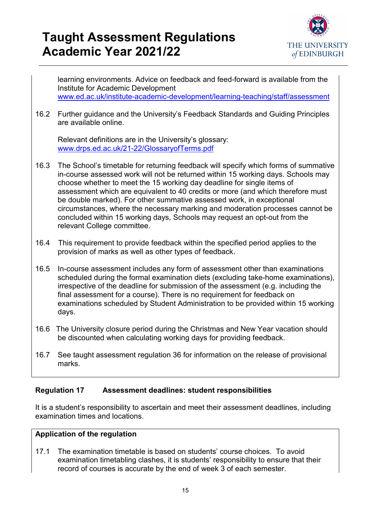

learning environments. Advice on feedback and feed-forward is available from the Institute for Academic Development [www.ed.ac.uk/institute-academic-development/learning-teaching/staff/assessment](http://www.ed.ac.uk/institute-academic-development/learning-teaching/staff/assessment)

16.2 Further guidance and the University's Feedback Standards and Guiding Principles are available online.

Relevant definitions are in the University's glossary: [www.drps.ed.ac.uk/21-22/GlossaryofTerms.pdf](http://www.drps.ed.ac.uk/21-22/GlossaryofTerms.pdf)

- 16.3 The School's timetable for returning feedback will specify which forms of summative in-course assessed work will not be returned within 15 working days. Schools may choose whether to meet the 15 working day deadline for single items of assessment which are equivalent to 40 credits or more (and which therefore must be double marked). For other summative assessed work, in exceptional circumstances, where the necessary marking and moderation processes cannot be concluded within 15 working days, Schools may request an opt-out from the relevant College committee.
- 16.4 This requirement to provide feedback within the specified period applies to the provision of marks as well as other types of feedback.
- 16.5 In-course assessment includes any form of assessment other than examinations scheduled during the formal examination diets (excluding take-home examinations), irrespective of the deadline for submission of the assessment (e.g. including the final assessment for a course). There is no requirement for feedback on examinations scheduled by Student Administration to be provided within 15 working days.
- 16.6 The University closure period during the Christmas and New Year vacation should be discounted when calculating working days for providing feedback.
- 16.7 See taught assessment regulation 36 for information on the release of provisional marks.

### <span id="page-14-0"></span>**Regulation 17 Assessment deadlines: student responsibilities**

It is a student's responsibility to ascertain and meet their assessment deadlines, including examination times and locations.

#### **Application of the regulation**

17.1 The examination timetable is based on students' course choices. To avoid examination timetabling clashes, it is students' responsibility to ensure that their record of courses is accurate by the end of week 3 of each semester.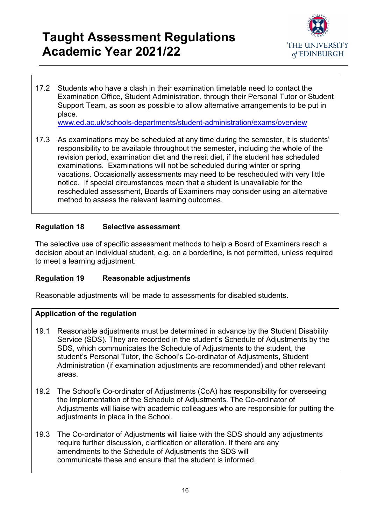

17.2 Students who have a clash in their examination timetable need to contact the Examination Office, Student Administration, through their Personal Tutor or Student Support Team, as soon as possible to allow alternative arrangements to be put in place.

[www.ed.ac.uk/schools-departments/student-administration/exams/overview](http://www.ed.ac.uk/schools-departments/student-administration/exams/overview)

17.3 As examinations may be scheduled at any time during the semester, it is students' responsibility to be available throughout the semester, including the whole of the revision period, examination diet and the resit diet, if the student has scheduled examinations. Examinations will not be scheduled during winter or spring vacations. Occasionally assessments may need to be rescheduled with very little notice. If special circumstances mean that a student is unavailable for the rescheduled assessment, Boards of Examiners may consider using an alternative method to assess the relevant learning outcomes.

### <span id="page-15-0"></span>**Regulation 18 Selective assessment**

The selective use of specific assessment methods to help a Board of Examiners reach a decision about an individual student, e.g. on a borderline, is not permitted, unless required to meet a learning adjustment.

#### <span id="page-15-1"></span>**Regulation 19 Reasonable adjustments**

Reasonable adjustments will be made to assessments for disabled students.

- 19.1 Reasonable adjustments must be determined in advance by the Student Disability Service (SDS). They are recorded in the student's Schedule of Adjustments by the SDS, which communicates the Schedule of Adjustments to the student, the student's Personal Tutor, the School's Co-ordinator of Adjustments, Student Administration (if examination adjustments are recommended) and other relevant areas.
- 19.2 The School's Co-ordinator of Adjustments (CoA) has responsibility for overseeing the implementation of the Schedule of Adjustments. The Co-ordinator of Adjustments will liaise with academic colleagues who are responsible for putting the adjustments in place in the School.
- 19.3 The Co-ordinator of Adjustments will liaise with the SDS should any adjustments require further discussion, clarification or alteration. If there are any amendments to the Schedule of Adjustments the SDS will communicate these and ensure that the student is informed.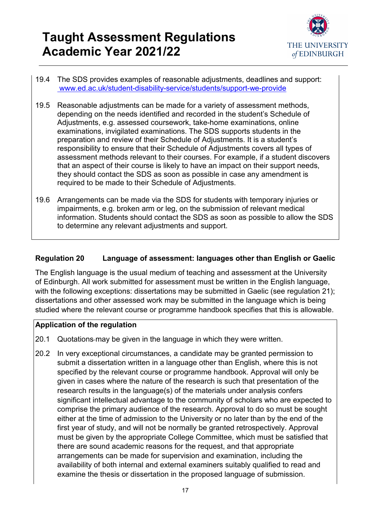

- 19.4 The SDS provides examples of reasonable adjustments, deadlines and support: [www.ed.ac.uk/student-disability-service/students/support-we-provide](http://www.ed.ac.uk/student-disability-service/students/support-we-provide)
- 19.5 Reasonable adjustments can be made for a variety of assessment methods, depending on the needs identified and recorded in the student's Schedule of Adjustments, e.g. assessed coursework, take-home examinations, online examinations, invigilated examinations. The SDS supports students in the preparation and review of their Schedule of Adjustments. It is a student's responsibility to ensure that their Schedule of Adjustments covers all types of assessment methods relevant to their courses. For example, if a student discovers that an aspect of their course is likely to have an impact on their support needs, they should contact the SDS as soon as possible in case any amendment is required to be made to their Schedule of Adjustments.
- 19.6 Arrangements can be made via the SDS for students with temporary injuries or impairments, e.g. broken arm or leg, on the submission of relevant medical information. Students should contact the SDS as soon as possible to allow the SDS to determine any relevant adjustments and support.

### <span id="page-16-0"></span>**Regulation 20 Language of assessment: languages other than English or Gaelic**

The English language is the usual medium of teaching and assessment at the University of Edinburgh. All work submitted for assessment must be written in the English language, with the following exceptions: dissertations may be submitted in Gaelic (see regulation 21); dissertations and other assessed work may be submitted in the language which is being studied where the relevant course or programme handbook specifies that this is allowable.

- 20.1 Quotations-may be given in the language in which they were written.
- 20.2 In very exceptional circumstances, a candidate may be granted permission to submit a dissertation written in a language other than English, where this is not specified by the relevant course or programme handbook. Approval will only be given in cases where the nature of the research is such that presentation of the research results in the language(s) of the materials under analysis confers significant intellectual advantage to the community of scholars who are expected to comprise the primary audience of the research. Approval to do so must be sought either at the time of admission to the University or no later than by the end of the first year of study, and will not be normally be granted retrospectively. Approval must be given by the appropriate College Committee, which must be satisfied that there are sound academic reasons for the request, and that appropriate arrangements can be made for supervision and examination, including the availability of both internal and external examiners suitably qualified to read and examine the thesis or dissertation in the proposed language of submission.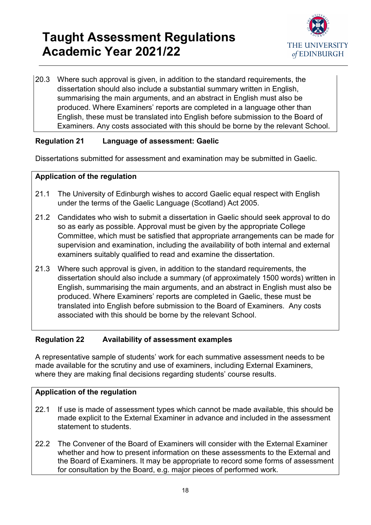

20.3 Where such approval is given, in addition to the standard requirements, the dissertation should also include a substantial summary written in English, summarising the main arguments, and an abstract in English must also be produced. Where Examiners' reports are completed in a language other than English, these must be translated into English before submission to the Board of Examiners. Any costs associated with this should be borne by the relevant School.

### <span id="page-17-0"></span>**Regulation 21 Language of assessment: Gaelic**

Dissertations submitted for assessment and examination may be submitted in Gaelic.

### **Application of the regulation**

- 21.1 The University of Edinburgh wishes to accord Gaelic equal respect with English under the terms of the Gaelic Language (Scotland) Act 2005.
- 21.2 Candidates who wish to submit a dissertation in Gaelic should seek approval to do so as early as possible. Approval must be given by the appropriate College Committee, which must be satisfied that appropriate arrangements can be made for supervision and examination, including the availability of both internal and external examiners suitably qualified to read and examine the dissertation.
- 21.3 Where such approval is given, in addition to the standard requirements, the dissertation should also include a summary (of approximately 1500 words) written in English, summarising the main arguments, and an abstract in English must also be produced. Where Examiners' reports are completed in Gaelic, these must be translated into English before submission to the Board of Examiners. Any costs associated with this should be borne by the relevant School.

### <span id="page-17-1"></span>**Regulation 22 Availability of assessment examples**

A representative sample of students' work for each summative assessment needs to be made available for the scrutiny and use of examiners, including External Examiners, where they are making final decisions regarding students' course results.

- 22.1 If use is made of assessment types which cannot be made available, this should be made explicit to the External Examiner in advance and included in the assessment statement to students.
- 22.2 The Convener of the Board of Examiners will consider with the External Examiner whether and how to present information on these assessments to the External and the Board of Examiners. It may be appropriate to record some forms of assessment for consultation by the Board, e.g. major pieces of performed work.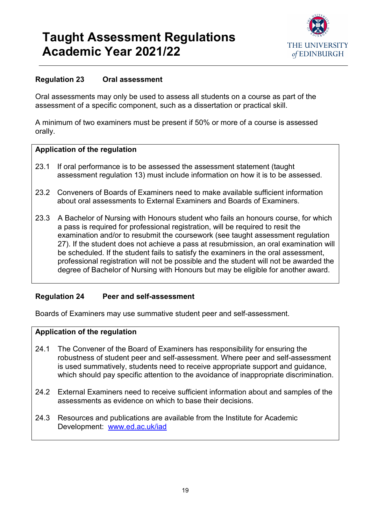

### <span id="page-18-0"></span>**Regulation 23 Oral assessment**

Oral assessments may only be used to assess all students on a course as part of the assessment of a specific component, such as a dissertation or practical skill.

A minimum of two examiners must be present if 50% or more of a course is assessed orally.

#### **Application of the regulation**

- 23.1 If oral performance is to be assessed the assessment statement (taught assessment regulation 13) must include information on how it is to be assessed.
- 23.2 Conveners of Boards of Examiners need to make available sufficient information about oral assessments to External Examiners and Boards of Examiners.
- 23.3 A Bachelor of Nursing with Honours student who fails an honours course, for which a pass is required for professional registration, will be required to resit the examination and/or to resubmit the coursework (see taught assessment regulation 27). If the student does not achieve a pass at resubmission, an oral examination will be scheduled. If the student fails to satisfy the examiners in the oral assessment, professional registration will not be possible and the student will not be awarded the degree of Bachelor of Nursing with Honours but may be eligible for another award.

### <span id="page-18-1"></span>**Regulation 24 Peer and self-assessment**

Boards of Examiners may use summative student peer and self-assessment.

- 24.1 The Convener of the Board of Examiners has responsibility for ensuring the robustness of student peer and self-assessment. Where peer and self-assessment is used summatively, students need to receive appropriate support and guidance, which should pay specific attention to the avoidance of inappropriate discrimination.
- 24.2 External Examiners need to receive sufficient information about and samples of the assessments as evidence on which to base their decisions.
- <span id="page-18-2"></span>24.3 Resources and publications are available from the Institute for Academic Development: [www.ed.ac.uk/iad](http://www.ed.ac.uk/iad)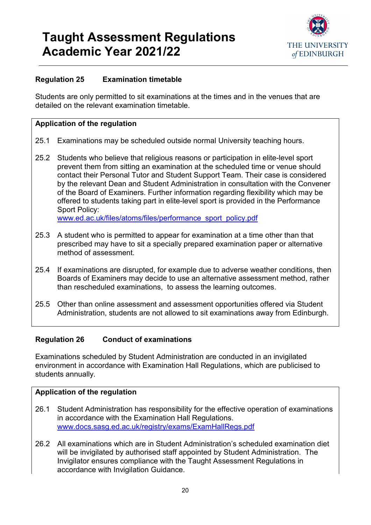

### **Regulation 25 Examination timetable**

Students are only permitted to sit examinations at the times and in the venues that are detailed on the relevant examination timetable.

#### **Application of the regulation**

- 25.1 Examinations may be scheduled outside normal University teaching hours.
- 25.2 Students who believe that religious reasons or participation in elite-level sport prevent them from sitting an examination at the scheduled time or venue should contact their Personal Tutor and Student Support Team. Their case is considered by the relevant Dean and Student Administration in consultation with the Convener of the Board of Examiners. Further information regarding flexibility which may be offered to students taking part in elite-level sport is provided in the Performance Sport Policy:

[www.ed.ac.uk/files/atoms/files/performance\\_sport\\_policy.pdf](http://www.ed.ac.uk/files/atoms/files/performance_sport_policy.pdf)

- 25.3 A student who is permitted to appear for examination at a time other than that prescribed may have to sit a specially prepared examination paper or alternative method of assessment.
- 25.4 If examinations are disrupted, for example due to adverse weather conditions, then Boards of Examiners may decide to use an alternative assessment method, rather than rescheduled examinations, to assess the learning outcomes.
- 25.5 Other than online assessment and assessment opportunities offered via Student Administration, students are not allowed to sit examinations away from Edinburgh.

### <span id="page-19-0"></span>**Regulation 26 Conduct of examinations**

Examinations scheduled by Student Administration are conducted in an invigilated environment in accordance with Examination Hall Regulations, which are publicised to students annually.

- 26.1 Student Administration has responsibility for the effective operation of examinations in accordance with the Examination Hall Regulations. [www.docs.sasg.ed.ac.uk/registry/exams/ExamHallRegs.pdf](http://www.docs.sasg.ed.ac.uk/registry/exams/ExamHallRegs.pdf)
- 26.2 All examinations which are in Student Administration's scheduled examination diet will be invigilated by authorised staff appointed by Student Administration. The Invigilator ensures compliance with the Taught Assessment Regulations in accordance with Invigilation Guidance.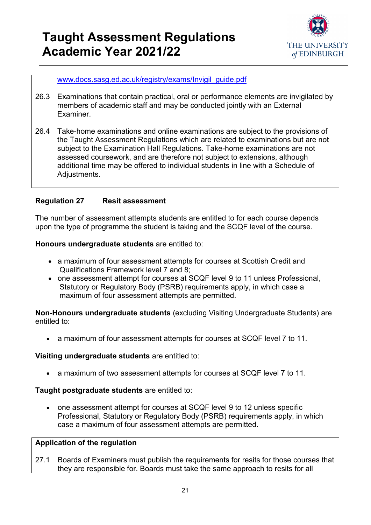

[www.docs.sasg.ed.ac.uk/registry/exams/Invigil\\_guide.pdf](http://www.docs.sasg.ed.ac.uk/registry/exams/Invigil_guide.pdf)

- 26.3 Examinations that contain practical, oral or performance elements are invigilated by members of academic staff and may be conducted jointly with an External Examiner.
- 26.4 Take-home examinations and online examinations are subject to the provisions of the Taught Assessment Regulations which are related to examinations but are not subiect to the Examination Hall Regulations. Take-home examinations are not assessed coursework, and are therefore not subject to extensions, although additional time may be offered to individual students in line with a Schedule of Adjustments.

### <span id="page-20-0"></span>**Regulation 27 Resit assessment**

The number of assessment attempts students are entitled to for each course depends upon the type of programme the student is taking and the SCQF level of the course.

**Honours undergraduate students** are entitled to:

- a maximum of four assessment attempts for courses at Scottish Credit and Qualifications Framework level 7 and 8;
- one assessment attempt for courses at SCQF level 9 to 11 unless Professional, Statutory or Regulatory Body (PSRB) requirements apply, in which case a maximum of four assessment attempts are permitted.

**Non-Honours undergraduate students** (excluding Visiting Undergraduate Students) are entitled to:

• a maximum of four assessment attempts for courses at SCQF level 7 to 11.

#### **Visiting undergraduate students** are entitled to:

• a maximum of two assessment attempts for courses at SCQF level 7 to 11.

#### **Taught postgraduate students** are entitled to:

• one assessment attempt for courses at SCQF level 9 to 12 unless specific Professional, Statutory or Regulatory Body (PSRB) requirements apply, in which case a maximum of four assessment attempts are permitted.

### **Application of the regulation**

27.1 Boards of Examiners must publish the requirements for resits for those courses that they are responsible for. Boards must take the same approach to resits for all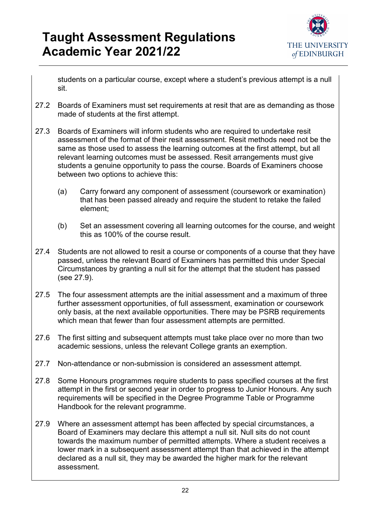

students on a particular course, except where a student's previous attempt is a null sit.

- 27.2 Boards of Examiners must set requirements at resit that are as demanding as those made of students at the first attempt.
- 27.3 Boards of Examiners will inform students who are required to undertake resit assessment of the format of their resit assessment. Resit methods need not be the same as those used to assess the learning outcomes at the first attempt, but all relevant learning outcomes must be assessed. Resit arrangements must give students a genuine opportunity to pass the course. Boards of Examiners choose between two options to achieve this:
	- (a) Carry forward any component of assessment (coursework or examination) that has been passed already and require the student to retake the failed element;
	- (b) Set an assessment covering all learning outcomes for the course, and weight this as 100% of the course result.
- 27.4 Students are not allowed to resit a course or components of a course that they have passed, unless the relevant Board of Examiners has permitted this under Special Circumstances by granting a null sit for the attempt that the student has passed (see 27.9).
- 27.5 The four assessment attempts are the initial assessment and a maximum of three further assessment opportunities, of full assessment, examination or coursework only basis, at the next available opportunities. There may be PSRB requirements which mean that fewer than four assessment attempts are permitted.
- 27.6 The first sitting and subsequent attempts must take place over no more than two academic sessions, unless the relevant College grants an exemption.
- 27.7 Non-attendance or non-submission is considered an assessment attempt.
- 27.8 Some Honours programmes require students to pass specified courses at the first attempt in the first or second year in order to progress to Junior Honours. Any such requirements will be specified in the Degree Programme Table or Programme Handbook for the relevant programme.
- 27.9 Where an assessment attempt has been affected by special circumstances, a Board of Examiners may declare this attempt a null sit. Null sits do not count towards the maximum number of permitted attempts. Where a student receives a lower mark in a subsequent assessment attempt than that achieved in the attempt declared as a null sit, they may be awarded the higher mark for the relevant assessment.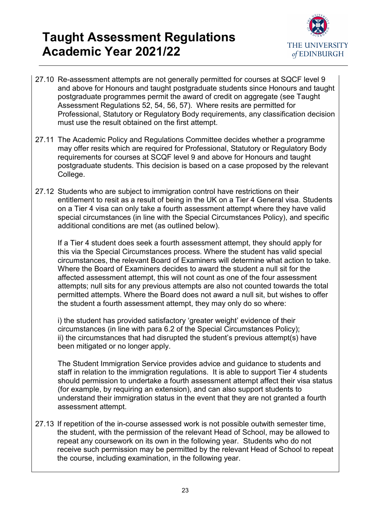

- 27.10 Re-assessment attempts are not generally permitted for courses at SQCF level 9 and above for Honours and taught postgraduate students since Honours and taught postgraduate programmes permit the award of credit on aggregate (see Taught Assessment Regulations 52, 54, 56, 57). Where resits are permitted for Professional, Statutory or Regulatory Body requirements, any classification decision must use the result obtained on the first attempt.
- 27.11 The Academic Policy and Regulations Committee decides whether a programme may offer resits which are required for Professional, Statutory or Regulatory Body requirements for courses at SCQF level 9 and above for Honours and taught postgraduate students. This decision is based on a case proposed by the relevant College.
- 27.12 Students who are subject to immigration control have restrictions on their entitlement to resit as a result of being in the UK on a Tier 4 General visa. Students on a Tier 4 visa can only take a fourth assessment attempt where they have valid special circumstances (in line with the Special Circumstances Policy), and specific additional conditions are met (as outlined below).

If a Tier 4 student does seek a fourth assessment attempt, they should apply for this via the Special Circumstances process. Where the student has valid special circumstances, the relevant Board of Examiners will determine what action to take. Where the Board of Examiners decides to award the student a null sit for the affected assessment attempt, this will not count as one of the four assessment attempts; null sits for any previous attempts are also not counted towards the total permitted attempts. Where the Board does not award a null sit, but wishes to offer the student a fourth assessment attempt, they may only do so where:

i) the student has provided satisfactory 'greater weight' evidence of their circumstances (in line with para 6.2 of the Special Circumstances Policy); ii) the circumstances that had disrupted the student's previous attempt(s) have been mitigated or no longer apply.

The Student Immigration Service provides advice and guidance to students and staff in relation to the immigration regulations. It is able to support Tier 4 students should permission to undertake a fourth assessment attempt affect their visa status (for example, by requiring an extension), and can also support students to understand their immigration status in the event that they are not granted a fourth assessment attempt.

27.13 If repetition of the in-course assessed work is not possible outwith semester time, the student, with the permission of the relevant Head of School, may be allowed to repeat any coursework on its own in the following year. Students who do not receive such permission may be permitted by the relevant Head of School to repeat the course, including examination, in the following year.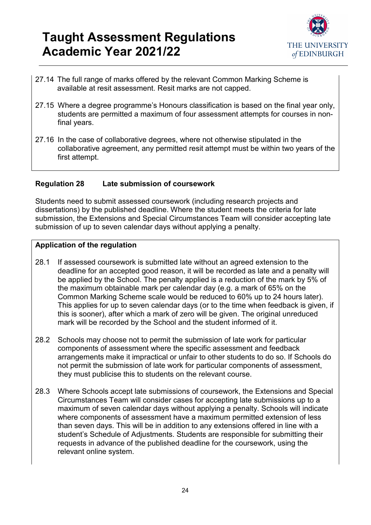

- 27.14 The full range of marks offered by the relevant Common Marking Scheme is available at resit assessment. Resit marks are not capped.
- 27.15 Where a degree programme's Honours classification is based on the final year only, students are permitted a maximum of four assessment attempts for courses in nonfinal years.
- 27.16 In the case of collaborative degrees, where not otherwise stipulated in the collaborative agreement, any permitted resit attempt must be within two years of the first attempt.

### <span id="page-23-0"></span>**Regulation 28 Late submission of coursework**

Students need to submit assessed coursework (including research projects and dissertations) by the published deadline. Where the student meets the criteria for late submission, the Extensions and Special Circumstances Team will consider accepting late submission of up to seven calendar days without applying a penalty.

- 28.1 If assessed coursework is submitted late without an agreed extension to the deadline for an accepted good reason, it will be recorded as late and a penalty will be applied by the School. The penalty applied is a reduction of the mark by 5% of the maximum obtainable mark per calendar day (e.g. a mark of 65% on the Common Marking Scheme scale would be reduced to 60% up to 24 hours later). This applies for up to seven calendar days (or to the time when feedback is given, if this is sooner), after which a mark of zero will be given. The original unreduced mark will be recorded by the School and the student informed of it.
- 28.2 Schools may choose not to permit the submission of late work for particular components of assessment where the specific assessment and feedback arrangements make it impractical or unfair to other students to do so. If Schools do not permit the submission of late work for particular components of assessment, they must publicise this to students on the relevant course.
- 28.3 Where Schools accept late submissions of coursework, the Extensions and Special Circumstances Team will consider cases for accepting late submissions up to a maximum of seven calendar days without applying a penalty. Schools will indicate where components of assessment have a maximum permitted extension of less than seven days. This will be in addition to any extensions offered in line with a student's Schedule of Adjustments. Students are responsible for submitting their requests in advance of the published deadline for the coursework, using the relevant online system.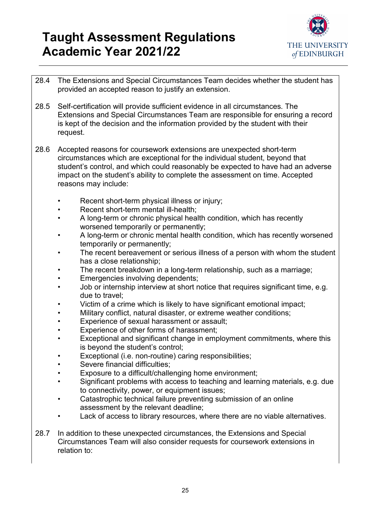

- 28.4 The Extensions and Special Circumstances Team decides whether the student has provided an accepted reason to justify an extension.
- 28.5 Self-certification will provide sufficient evidence in all circumstances. The Extensions and Special Circumstances Team are responsible for ensuring a record is kept of the decision and the information provided by the student with their request.
- 28.6 Accepted reasons for coursework extensions are unexpected short-term circumstances which are exceptional for the individual student, beyond that student's control, and which could reasonably be expected to have had an adverse impact on the student's ability to complete the assessment on time. Accepted reasons may include:
	- Recent short-term physical illness or injury;
	- Recent short-term mental ill-health;
	- A long-term or chronic physical health condition, which has recently worsened temporarily or permanently;
	- A long-term or chronic mental health condition, which has recently worsened temporarily or permanently;
	- The recent bereavement or serious illness of a person with whom the student has a close relationship;
	- The recent breakdown in a long-term relationship, such as a marriage;
	- **Emergencies involving dependents;**
	- Job or internship interview at short notice that requires significant time, e.g. due to travel;
	- Victim of a crime which is likely to have significant emotional impact:
	- Military conflict, natural disaster, or extreme weather conditions;
	- Experience of sexual harassment or assault;
	- Experience of other forms of harassment;
	- Exceptional and significant change in employment commitments, where this is beyond the student's control;
	- Exceptional (i.e. non-routine) caring responsibilities;
	- Severe financial difficulties;
	- Exposure to a difficult/challenging home environment;
	- Significant problems with access to teaching and learning materials, e.g. due to connectivity, power, or equipment issues;
	- Catastrophic technical failure preventing submission of an online assessment by the relevant deadline;
	- Lack of access to library resources, where there are no viable alternatives.
- 28.7 In addition to these unexpected circumstances, the Extensions and Special Circumstances Team will also consider requests for coursework extensions in relation to: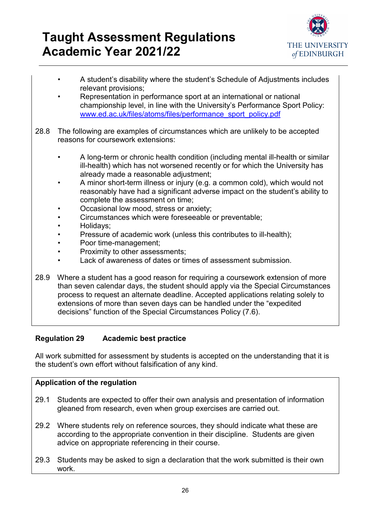

- A student's disability where the student's Schedule of Adjustments includes relevant provisions;
- Representation in performance sport at an international or national championship level, in line with the University's Performance Sport Policy: [www.ed.ac.uk/files/atoms/files/performance\\_sport\\_policy.pdf](http://www.ed.ac.uk/files/atoms/files/performance_sport_policy.pdf)
- 28.8 The following are examples of circumstances which are unlikely to be accepted reasons for coursework extensions:
	- A long-term or chronic health condition (including mental ill-health or similar ill-health) which has not worsened recently or for which the University has already made a reasonable adjustment;
	- A minor short-term illness or injury (e.g. a common cold), which would not reasonably have had a significant adverse impact on the student's ability to complete the assessment on time;
	- Occasional low mood, stress or anxiety;
	- Circumstances which were foreseeable or preventable;
	- Holidays;
	- Pressure of academic work (unless this contributes to ill-health);
	- Poor time-management;
	- Proximity to other assessments;
	- Lack of awareness of dates or times of assessment submission.
- 28.9 Where a student has a good reason for requiring a coursework extension of more than seven calendar days, the student should apply via the Special Circumstances process to request an alternate deadline. Accepted applications relating solely to extensions of more than seven days can be handled under the "expedited decisions" function of the Special Circumstances Policy (7.6).

### <span id="page-25-0"></span>**Regulation 29 Academic best practice**

All work submitted for assessment by students is accepted on the understanding that it is the student's own effort without falsification of any kind.

- 29.1 Students are expected to offer their own analysis and presentation of information gleaned from research, even when group exercises are carried out.
- 29.2 Where students rely on reference sources, they should indicate what these are according to the appropriate convention in their discipline. Students are given advice on appropriate referencing in their course.
- 29.3 Students may be asked to sign a declaration that the work submitted is their own work.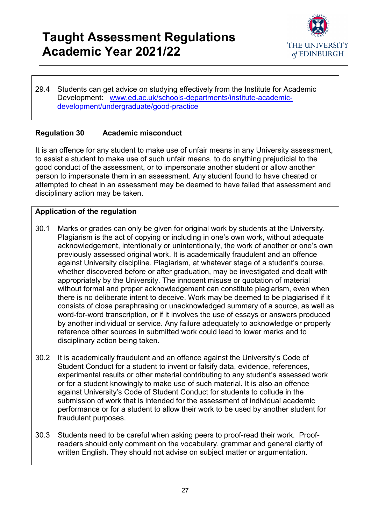

29.4 Students can get advice on studying effectively from the Institute for Academic Development: [www.ed.ac.uk/schools-departments/institute-academic](http://www.ed.ac.uk/schools-departments/institute-academic-development/undergraduate/good-practice)[development/undergraduate/good-practice](http://www.ed.ac.uk/schools-departments/institute-academic-development/undergraduate/good-practice)

### <span id="page-26-0"></span>**Regulation 30 Academic misconduct**

It is an offence for any student to make use of unfair means in any University assessment, to assist a student to make use of such unfair means, to do anything prejudicial to the good conduct of the assessment, or to impersonate another student or allow another person to impersonate them in an assessment. Any student found to have cheated or attempted to cheat in an assessment may be deemed to have failed that assessment and disciplinary action may be taken.

- 30.1 Marks or grades can only be given for original work by students at the University. Plagiarism is the act of copying or including in one's own work, without adequate acknowledgement, intentionally or unintentionally, the work of another or one's own previously assessed original work. It is academically fraudulent and an offence against University discipline. Plagiarism, at whatever stage of a student's course, whether discovered before or after graduation, may be investigated and dealt with appropriately by the University. The innocent misuse or quotation of material without formal and proper acknowledgement can constitute plagiarism, even when there is no deliberate intent to deceive. Work may be deemed to be plagiarised if it consists of close paraphrasing or unacknowledged summary of a source, as well as word-for-word transcription, or if it involves the use of essays or answers produced by another individual or service. Any failure adequately to acknowledge or properly reference other sources in submitted work could lead to lower marks and to disciplinary action being taken.
- 30.2 It is academically fraudulent and an offence against the University's Code of Student Conduct for a student to invent or falsify data, evidence, references, experimental results or other material contributing to any student's assessed work or for a student knowingly to make use of such material. It is also an offence against University's Code of Student Conduct for students to collude in the submission of work that is intended for the assessment of individual academic performance or for a student to allow their work to be used by another student for fraudulent purposes.
- 30.3 Students need to be careful when asking peers to proof-read their work. Proofreaders should only comment on the vocabulary, grammar and general clarity of written English. They should not advise on subject matter or argumentation.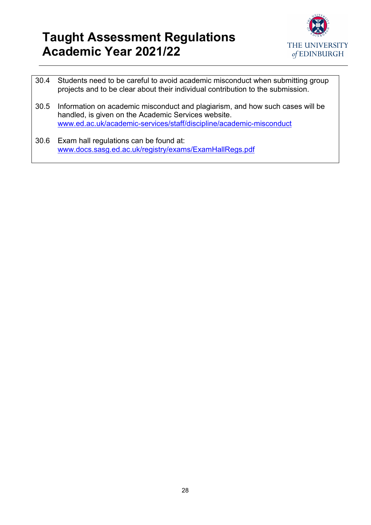

30.4 Students need to be careful to avoid academic misconduct when submitting group projects and to be clear about their individual contribution to the submission. 30.5 Information on academic misconduct and plagiarism, and how such cases will be handled, is given on the Academic Services website. [www.ed.ac.uk/academic-services/staff/discipline/academic-misconduct](http://www.ed.ac.uk/academic-services/staff/discipline/academic-misconduct) 30.6 Exam hall regulations can be found at: [www.docs.sasg.ed.ac.uk/registry/exams/ExamHallRegs.pdf](https://www.docs.sasg.ed.ac.uk/registry/exams/ExamHallRegs.pdf)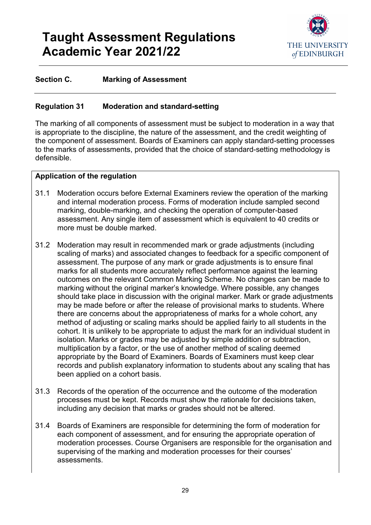

### **Section C. Marking of Assessment**

#### <span id="page-28-0"></span>**Regulation 31 Moderation and standard-setting**

The marking of all components of assessment must be subject to moderation in a way that is appropriate to the discipline, the nature of the assessment, and the credit weighting of the component of assessment. Boards of Examiners can apply standard-setting processes to the marks of assessments, provided that the choice of standard-setting methodology is defensible.

- 31.1 Moderation occurs before External Examiners review the operation of the marking and internal moderation process. Forms of moderation include sampled second marking, double-marking, and checking the operation of computer-based assessment. Any single item of assessment which is equivalent to 40 credits or more must be double marked.
- 31.2 Moderation may result in recommended mark or grade adjustments (including scaling of marks) and associated changes to feedback for a specific component of assessment. The purpose of any mark or grade adjustments is to ensure final marks for all students more accurately reflect performance against the learning outcomes on the relevant Common Marking Scheme. No changes can be made to marking without the original marker's knowledge. Where possible, any changes should take place in discussion with the original marker. Mark or grade adjustments may be made before or after the release of provisional marks to students. Where there are concerns about the appropriateness of marks for a whole cohort, any method of adjusting or scaling marks should be applied fairly to all students in the cohort. It is unlikely to be appropriate to adjust the mark for an individual student in isolation. Marks or grades may be adjusted by simple addition or subtraction, multiplication by a factor, or the use of another method of scaling deemed appropriate by the Board of Examiners. Boards of Examiners must keep clear records and publish explanatory information to students about any scaling that has been applied on a cohort basis.
- 31.3 Records of the operation of the occurrence and the outcome of the moderation processes must be kept. Records must show the rationale for decisions taken, including any decision that marks or grades should not be altered.
- 31.4 Boards of Examiners are responsible for determining the form of moderation for each component of assessment, and for ensuring the appropriate operation of moderation processes. Course Organisers are responsible for the organisation and supervising of the marking and moderation processes for their courses' assessments.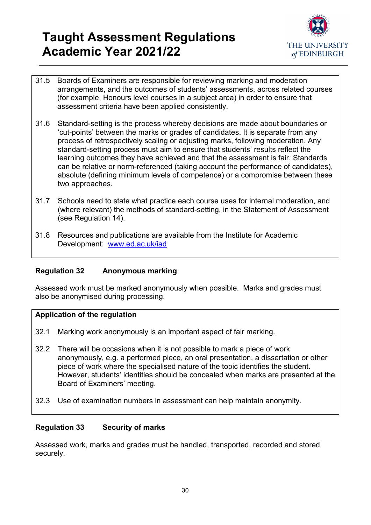

- 31.5 Boards of Examiners are responsible for reviewing marking and moderation arrangements, and the outcomes of students' assessments, across related courses (for example, Honours level courses in a subject area) in order to ensure that assessment criteria have been applied consistently.
- 31.6 Standard-setting is the process whereby decisions are made about boundaries or 'cut-points' between the marks or grades of candidates. It is separate from any process of retrospectively scaling or adjusting marks, following moderation. Any standard-setting process must aim to ensure that students' results reflect the learning outcomes they have achieved and that the assessment is fair. Standards can be relative or norm-referenced (taking account the performance of candidates), absolute (defining minimum levels of competence) or a compromise between these two approaches.
- 31.7 Schools need to state what practice each course uses for internal moderation, and (where relevant) the methods of standard-setting, in the Statement of Assessment (see Regulation 14).
- 31.8 Resources and publications are available from the Institute for Academic Development: [www.ed.ac.uk/iad](http://www.ed.ac.uk/iad)

### <span id="page-29-0"></span>**Regulation 32 Anonymous marking**

Assessed work must be marked anonymously when possible. Marks and grades must also be anonymised during processing.

### **Application of the regulation**

- 32.1 Marking work anonymously is an important aspect of fair marking.
- 32.2 There will be occasions when it is not possible to mark a piece of work anonymously, e.g. a performed piece, an oral presentation, a dissertation or other piece of work where the specialised nature of the topic identifies the student. However, students' identities should be concealed when marks are presented at the Board of Examiners' meeting.
- 32.3 Use of examination numbers in assessment can help maintain anonymity.

### <span id="page-29-1"></span>**Regulation 33 Security of marks**

Assessed work, marks and grades must be handled, transported, recorded and stored securely.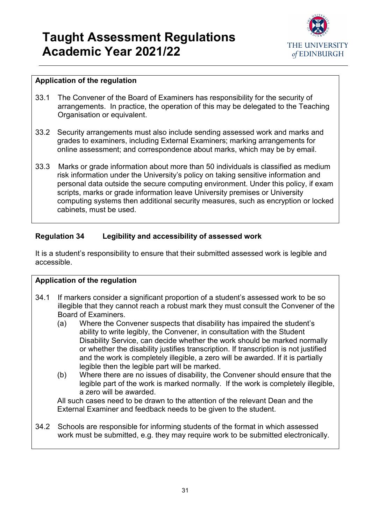

### **Application of the regulation**

- 33.1 The Convener of the Board of Examiners has responsibility for the security of arrangements. In practice, the operation of this may be delegated to the Teaching Organisation or equivalent.
- 33.2 Security arrangements must also include sending assessed work and marks and grades to examiners, including External Examiners; marking arrangements for online assessment; and correspondence about marks, which may be by email.
- 33.3 Marks or grade information about more than 50 individuals is classified as medium risk information under the University's policy on taking sensitive information and personal data outside the secure computing environment. Under this policy, if exam scripts, marks or grade information leave University premises or University computing systems then additional security measures, such as encryption or locked cabinets, must be used.

### <span id="page-30-0"></span>**Regulation 34 Legibility and accessibility of assessed work**

It is a student's responsibility to ensure that their submitted assessed work is legible and accessible.

### **Application of the regulation**

- 34.1 If markers consider a significant proportion of a student's assessed work to be so illegible that they cannot reach a robust mark they must consult the Convener of the Board of Examiners.
	- (a) Where the Convener suspects that disability has impaired the student's ability to write legibly, the Convener, in consultation with the Student Disability Service, can decide whether the work should be marked normally or whether the disability justifies transcription. If transcription is not justified and the work is completely illegible, a zero will be awarded. If it is partially legible then the legible part will be marked.
	- (b) Where there are no issues of disability, the Convener should ensure that the legible part of the work is marked normally. If the work is completely illegible, a zero will be awarded.

All such cases need to be drawn to the attention of the relevant Dean and the External Examiner and feedback needs to be given to the student.

34.2 Schools are responsible for informing students of the format in which assessed work must be submitted, e.g. they may require work to be submitted electronically.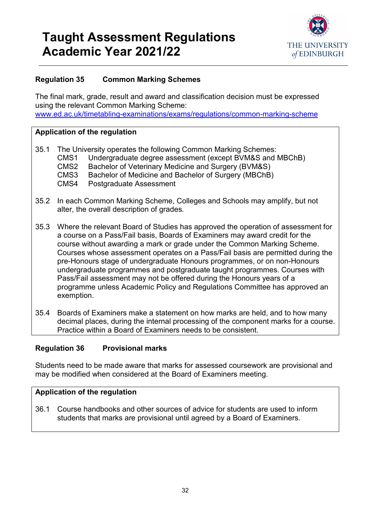

### <span id="page-31-0"></span>**Regulation 35 Common Marking Schemes**

The final mark, grade, result and award and classification decision must be expressed using the relevant Common Marking Scheme: [www.ed.ac.uk/timetabling-examinations/exams/regulations/common-marking-scheme](https://www.ed.ac.uk/timetabling-examinations/exams/regulations/common-marking-scheme)

#### **Application of the regulation**

| 35.1 The University operates the following Common Marking Schemes: |                                                               |  |  |  |  |
|--------------------------------------------------------------------|---------------------------------------------------------------|--|--|--|--|
|                                                                    | CMS1 Undergraduate degree assessment (except BVM&S and MBChB) |  |  |  |  |
| CMS2                                                               | Bachelor of Veterinary Medicine and Surgery (BVM&S)           |  |  |  |  |
| CMS3                                                               | Bachelor of Medicine and Bachelor of Surgery (MBChB)          |  |  |  |  |
| CMS4                                                               | <b>Postgraduate Assessment</b>                                |  |  |  |  |

- 35.2 In each Common Marking Scheme, Colleges and Schools may amplify, but not alter, the overall description of grades*.*
- 35.3 Where the relevant Board of Studies has approved the operation of assessment for a course on a Pass/Fail basis, Boards of Examiners may award credit for the course without awarding a mark or grade under the Common Marking Scheme. Courses whose assessment operates on a Pass/Fail basis are permitted during the pre-Honours stage of undergraduate Honours programmes, or on non-Honours undergraduate programmes and postgraduate taught programmes. Courses with Pass/Fail assessment may not be offered during the Honours years of a programme unless Academic Policy and Regulations Committee has approved an exemption.
- 35.4 Boards of Examiners make a statement on how marks are held, and to how many decimal places, during the internal processing of the component marks for a course. Practice within a Board of Examiners needs to be consistent.

#### <span id="page-31-1"></span>**Regulation 36 Provisional marks**

Students need to be made aware that marks for assessed coursework are provisional and may be modified when considered at the Board of Examiners meeting.

#### **Application of the regulation**

36.1 Course handbooks and other sources of advice for students are used to inform students that marks are provisional until agreed by a Board of Examiners.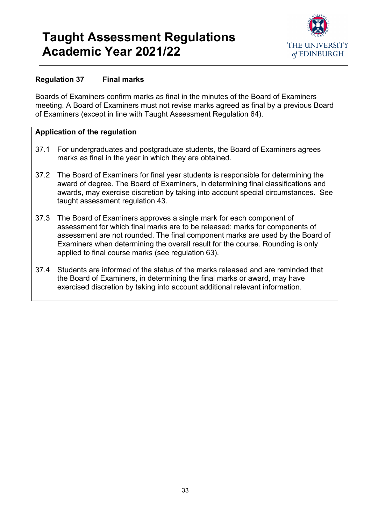

### <span id="page-32-0"></span>**Regulation 37 Final marks**

Boards of Examiners confirm marks as final in the minutes of the Board of Examiners meeting. A Board of Examiners must not revise marks agreed as final by a previous Board of Examiners (except in line with Taught Assessment Regulation 64).

- 37.1 For undergraduates and postgraduate students, the Board of Examiners agrees marks as final in the year in which they are obtained.
- 37.2 The Board of Examiners for final year students is responsible for determining the award of degree. The Board of Examiners, in determining final classifications and awards, may exercise discretion by taking into account special circumstances. See taught assessment regulation 43.
- 37.3 The Board of Examiners approves a single mark for each component of assessment for which final marks are to be released; marks for components of assessment are not rounded. The final component marks are used by the Board of Examiners when determining the overall result for the course. Rounding is only applied to final course marks (see regulation 63).
- 37.4 Students are informed of the status of the marks released and are reminded that the Board of Examiners, in determining the final marks or award, may have exercised discretion by taking into account additional relevant information.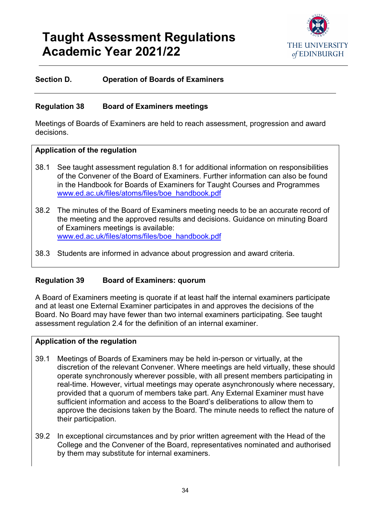

#### **Section D. Operation of Boards of Examiners**

#### <span id="page-33-0"></span>**Regulation 38 Board of Examiners meetings**

Meetings of Boards of Examiners are held to reach assessment, progression and award decisions.

#### **Application of the regulation**

- 38.1 See taught assessment regulation 8.1 for additional information on responsibilities of the Convener of the Board of Examiners. Further information can also be found in the Handbook for Boards of Examiners for Taught Courses and Programmes [www.ed.ac.uk/files/atoms/files/boe\\_handbook.pdf](http://www.ed.ac.uk/files/atoms/files/boe_handbook.pdf)
- 38.2 The minutes of the Board of Examiners meeting needs to be an accurate record of the meeting and the approved results and decisions. Guidance on minuting Board of Examiners meetings is available: [www.ed.ac.uk/files/atoms/files/boe\\_handbook.pdf](http://www.ed.ac.uk/files/atoms/files/boe_handbook.pdf)
- 38.3 Students are informed in advance about progression and award criteria.

#### <span id="page-33-1"></span>**Regulation 39 Board of Examiners: quorum**

A Board of Examiners meeting is quorate if at least half the internal examiners participate and at least one External Examiner participates in and approves the decisions of the Board. No Board may have fewer than two internal examiners participating. See taught assessment regulation 2.4 for the definition of an internal examiner.

- 39.1 Meetings of Boards of Examiners may be held in-person or virtually, at the discretion of the relevant Convener. Where meetings are held virtually, these should operate synchronously wherever possible, with all present members participating in real-time. However, virtual meetings may operate asynchronously where necessary, provided that a quorum of members take part. Any External Examiner must have sufficient information and access to the Board's deliberations to allow them to approve the decisions taken by the Board. The minute needs to reflect the nature of their participation.
- 39.2 In exceptional circumstances and by prior written agreement with the Head of the College and the Convener of the Board, representatives nominated and authorised by them may substitute for internal examiners.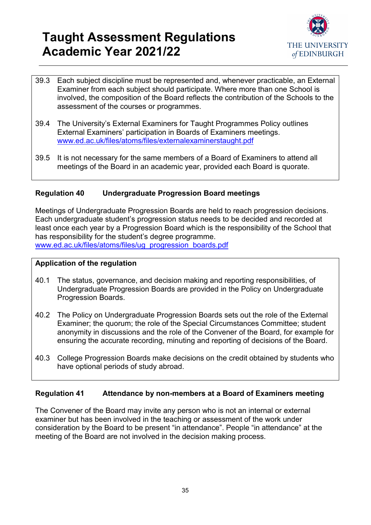

- 39.3 Each subject discipline must be represented and, whenever practicable, an External Examiner from each subject should participate. Where more than one School is involved, the composition of the Board reflects the contribution of the Schools to the assessment of the courses or programmes.
- 39.4 The University's External Examiners for Taught Programmes Policy outlines External Examiners' participation in Boards of Examiners meetings. [www.ed.ac.uk/files/atoms/files/externalexaminerstaught.pdf](http://www.ed.ac.uk/files/atoms/files/externalexaminerstaught.pdf)
- 39.5 It is not necessary for the same members of a Board of Examiners to attend all meetings of the Board in an academic year, provided each Board is quorate.

### <span id="page-34-0"></span>**Regulation 40 Undergraduate Progression Board meetings**

Meetings of Undergraduate Progression Boards are held to reach progression decisions. Each undergraduate student's progression status needs to be decided and recorded at least once each year by a Progression Board which is the responsibility of the School that has responsibility for the student's degree programme. [www.ed.ac.uk/files/atoms/files/ug\\_progression\\_boards.pdf](http://www.ed.ac.uk/files/atoms/files/ug_progression_boards.pdf)

#### **Application of the regulation**

- 40.1 The status, governance, and decision making and reporting responsibilities, of Undergraduate Progression Boards are provided in the Policy on Undergraduate Progression Boards.
- 40.2 The Policy on Undergraduate Progression Boards sets out the role of the External Examiner; the quorum; the role of the Special Circumstances Committee; student anonymity in discussions and the role of the Convener of the Board, for example for ensuring the accurate recording, minuting and reporting of decisions of the Board.
- 40.3 College Progression Boards make decisions on the credit obtained by students who have optional periods of study abroad.

#### <span id="page-34-1"></span>**Regulation 41 Attendance by non-members at a Board of Examiners meeting**

The Convener of the Board may invite any person who is not an internal or external examiner but has been involved in the teaching or assessment of the work under consideration by the Board to be present "in attendance". People "in attendance" at the meeting of the Board are not involved in the decision making process.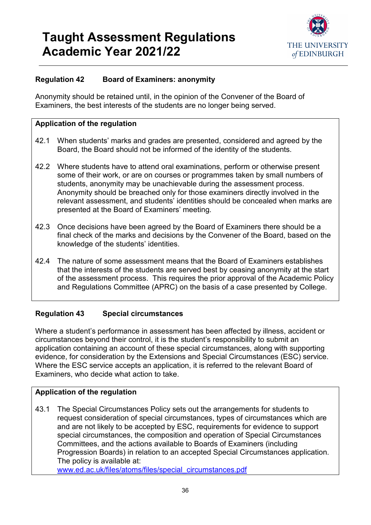

### <span id="page-35-0"></span>**Regulation 42 Board of Examiners: anonymity**

Anonymity should be retained until, in the opinion of the Convener of the Board of Examiners, the best interests of the students are no longer being served.

#### **Application of the regulation**

- 42.1 When students' marks and grades are presented, considered and agreed by the Board, the Board should not be informed of the identity of the students.
- 42.2 Where students have to attend oral examinations, perform or otherwise present some of their work, or are on courses or programmes taken by small numbers of students, anonymity may be unachievable during the assessment process. Anonymity should be breached only for those examiners directly involved in the relevant assessment, and students' identities should be concealed when marks are presented at the Board of Examiners' meeting.
- 42.3 Once decisions have been agreed by the Board of Examiners there should be a final check of the marks and decisions by the Convener of the Board, based on the knowledge of the students' identities.
- 42.4 The nature of some assessment means that the Board of Examiners establishes that the interests of the students are served best by ceasing anonymity at the start of the assessment process. This requires the prior approval of the Academic Policy and Regulations Committee (APRC) on the basis of a case presented by College.

### <span id="page-35-1"></span>**Regulation 43 Special circumstances**

Where a student's performance in assessment has been affected by illness, accident or circumstances beyond their control, it is the student's responsibility to submit an application containing an account of these special circumstances, along with supporting evidence, for consideration by the Extensions and Special Circumstances (ESC) service. Where the ESC service accepts an application, it is referred to the relevant Board of Examiners, who decide what action to take.

### **Application of the regulation**

43.1 The Special Circumstances Policy sets out the arrangements for students to request consideration of special circumstances, types of circumstances which are and are not likely to be accepted by ESC, requirements for evidence to support special circumstances, the composition and operation of Special Circumstances Committees, and the actions available to Boards of Examiners (including Progression Boards) in relation to an accepted Special Circumstances application. The policy is available at:

[www.ed.ac.uk/files/atoms/files/special\\_circumstances.pdf](http://www.ed.ac.uk/files/atoms/files/special_circumstances.pdf)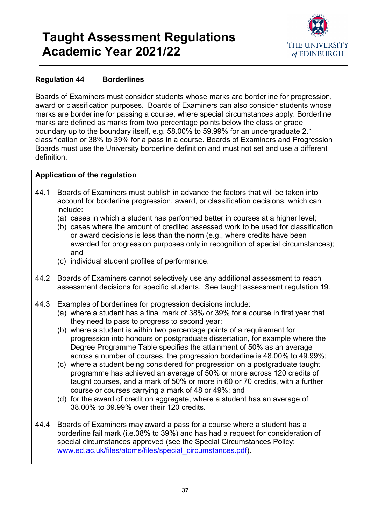

### <span id="page-36-0"></span>**Regulation 44 Borderlines**

Boards of Examiners must consider students whose marks are borderline for progression, award or classification purposes. Boards of Examiners can also consider students whose marks are borderline for passing a course, where special circumstances apply. Borderline marks are defined as marks from two percentage points below the class or grade boundary up to the boundary itself, e.g. 58.00% to 59.99% for an undergraduate 2.1 classification or 38% to 39% for a pass in a course. Boards of Examiners and Progression Boards must use the University borderline definition and must not set and use a different definition.

- 44.1 Boards of Examiners must publish in advance the factors that will be taken into account for borderline progression, award, or classification decisions, which can include:
	- (a) cases in which a student has performed better in courses at a higher level;
	- (b) cases where the amount of credited assessed work to be used for classification or award decisions is less than the norm (e.g., where credits have been awarded for progression purposes only in recognition of special circumstances); and
	- (c) individual student profiles of performance.
- 44.2 Boards of Examiners cannot selectively use any additional assessment to reach assessment decisions for specific students. See taught assessment regulation 19.
- 44.3 Examples of borderlines for progression decisions include:
	- (a) where a student has a final mark of 38% or 39% for a course in first year that they need to pass to progress to second year;
	- (b) where a student is within two percentage points of a requirement for progression into honours or postgraduate dissertation, for example where the Degree Programme Table specifies the attainment of 50% as an average across a number of courses, the progression borderline is 48.00% to 49.99%;
	- (c) where a student being considered for progression on a postgraduate taught programme has achieved an average of 50% or more across 120 credits of taught courses, and a mark of 50% or more in 60 or 70 credits, with a further course or courses carrying a mark of 48 or 49%; and
	- (d) for the award of credit on aggregate, where a student has an average of 38.00% to 39.99% over their 120 credits.
- 44.4 Boards of Examiners may award a pass for a course where a student has a borderline fail mark (i.e.38% to 39%) and has had a request for consideration of special circumstances approved (see the Special Circumstances Policy: [www.ed.ac.uk/files/atoms/files/special\\_circumstances.pdf\)](http://www.ed.ac.uk/files/atoms/files/special_circumstances.pdf).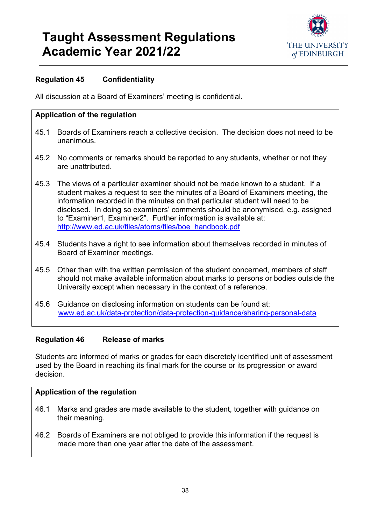

### <span id="page-37-0"></span>**Regulation 45 Confidentiality**

All discussion at a Board of Examiners' meeting is confidential.

### **Application of the regulation**

- 45.1 Boards of Examiners reach a collective decision. The decision does not need to be unanimous.
- 45.2 No comments or remarks should be reported to any students, whether or not they are unattributed.
- 45.3 The views of a particular examiner should not be made known to a student. If a student makes a request to see the minutes of a Board of Examiners meeting, the information recorded in the minutes on that particular student will need to be disclosed. In doing so examiners' comments should be anonymised, e.g. assigned to "Examiner1, Examiner2". Further information is available at: [http://www.ed.ac.uk/files/atoms/files/boe\\_handbook.pdf](http://www.ed.ac.uk/files/atoms/files/boe_handbook.pdf)
- 45.4 Students have a right to see information about themselves recorded in minutes of Board of Examiner meetings.
- 45.5 Other than with the written permission of the student concerned, members of staff should not make available information about marks to persons or bodies outside the University except when necessary in the context of a reference.
- 45.6 Guidance on disclosing information on students can be found at: [www.ed.ac.uk/data-protection/data-protection-guidance/sharing-personal-data](http://www.ed.ac.uk/data-protection/data-protection-guidance/sharing-personal-data)

#### <span id="page-37-1"></span>**Regulation 46 Release of marks**

Students are informed of marks or grades for each discretely identified unit of assessment used by the Board in reaching its final mark for the course or its progression or award decision.

- 46.1 Marks and grades are made available to the student, together with guidance on their meaning.
- 46.2 Boards of Examiners are not obliged to provide this information if the request is made more than one year after the date of the assessment.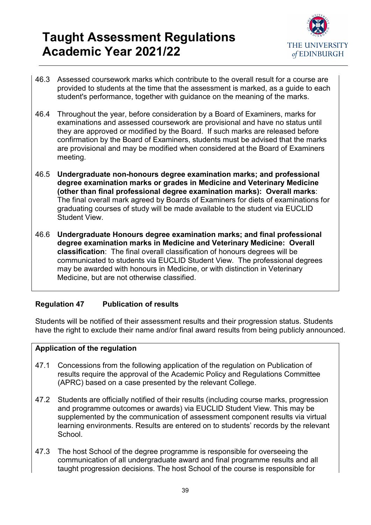

- 46.3 Assessed coursework marks which contribute to the overall result for a course are provided to students at the time that the assessment is marked, as a guide to each student's performance, together with guidance on the meaning of the marks.
- 46.4 Throughout the year, before consideration by a Board of Examiners, marks for examinations and assessed coursework are provisional and have no status until they are approved or modified by the Board. If such marks are released before confirmation by the Board of Examiners, students must be advised that the marks are provisional and may be modified when considered at the Board of Examiners meeting.
- 46.5 **Undergraduate non-honours degree examination marks; and professional degree examination marks or grades in Medicine and Veterinary Medicine (other than final professional degree examination marks): Overall marks**: The final overall mark agreed by Boards of Examiners for diets of examinations for graduating courses of study will be made available to the student via EUCLID Student View.
- 46.6 **Undergraduate Honours degree examination marks; and final professional degree examination marks in Medicine and Veterinary Medicine: Overall classification**: The final overall classification of honours degrees will be communicated to students via EUCLID Student View. The professional degrees may be awarded with honours in Medicine, or with distinction in Veterinary Medicine, but are not otherwise classified.

### <span id="page-38-0"></span>**Regulation 47 Publication of results**

Students will be notified of their assessment results and their progression status. Students have the right to exclude their name and/or final award results from being publicly announced.

- 47.1 Concessions from the following application of the regulation on Publication of results require the approval of the Academic Policy and Regulations Committee (APRC) based on a case presented by the relevant College.
- 47.2 Students are officially notified of their results (including course marks, progression and programme outcomes or awards) via EUCLID Student View. This may be supplemented by the communication of assessment component results via virtual learning environments. Results are entered on to students' records by the relevant **School**
- 47.3 The host School of the degree programme is responsible for overseeing the communication of all undergraduate award and final programme results and all taught progression decisions. The host School of the course is responsible for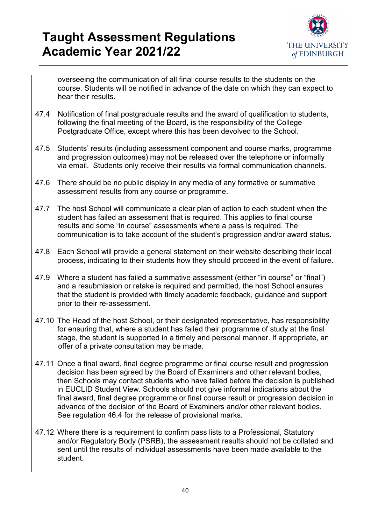

overseeing the communication of all final course results to the students on the course. Students will be notified in advance of the date on which they can expect to hear their results.

- 47.4 Notification of final postgraduate results and the award of qualification to students, following the final meeting of the Board, is the responsibility of the College Postgraduate Office, except where this has been devolved to the School.
- 47.5 Students' results (including assessment component and course marks, programme and progression outcomes) may not be released over the telephone or informally via email. Students only receive their results via formal communication channels.
- 47.6 There should be no public display in any media of any formative or summative assessment results from any course or programme.
- 47.7 The host School will communicate a clear plan of action to each student when the student has failed an assessment that is required. This applies to final course results and some "in course" assessments where a pass is required. The communication is to take account of the student's progression and/or award status.
- 47.8 Each School will provide a general statement on their website describing their local process, indicating to their students how they should proceed in the event of failure.
- 47.9 Where a student has failed a summative assessment (either "in course" or "final") and a resubmission or retake is required and permitted, the host School ensures that the student is provided with timely academic feedback, guidance and support prior to their re-assessment.
- 47.10 The Head of the host School, or their designated representative, has responsibility for ensuring that, where a student has failed their programme of study at the final stage, the student is supported in a timely and personal manner. If appropriate, an offer of a private consultation may be made.
- 47.11 Once a final award, final degree programme or final course result and progression decision has been agreed by the Board of Examiners and other relevant bodies, then Schools may contact students who have failed before the decision is published in EUCLID Student View. Schools should not give informal indications about the final award, final degree programme or final course result or progression decision in advance of the decision of the Board of Examiners and/or other relevant bodies. See regulation 46.4 for the release of provisional marks.
- 47.12 Where there is a requirement to confirm pass lists to a Professional, Statutory and/or Regulatory Body (PSRB), the assessment results should not be collated and sent until the results of individual assessments have been made available to the student.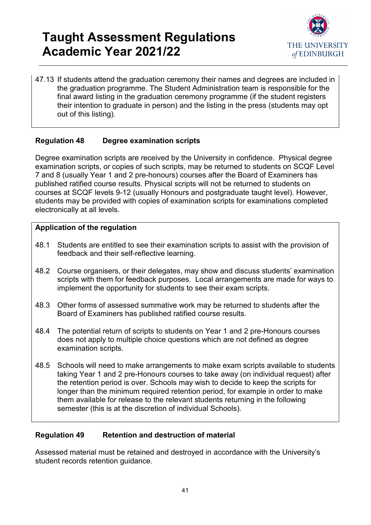

47.13 If students attend the graduation ceremony their names and degrees are included in the graduation programme. The Student Administration team is responsible for the final award listing in the graduation ceremony programme (if the student registers their intention to graduate in person) and the listing in the press (students may opt out of this listing).

### <span id="page-40-0"></span>**Regulation 48 Degree examination scripts**

Degree examination scripts are received by the University in confidence. Physical degree examination scripts, or copies of such scripts, may be returned to students on SCQF Level 7 and 8 (usually Year 1 and 2 pre-honours) courses after the Board of Examiners has published ratified course results. Physical scripts will not be returned to students on courses at SCQF levels 9-12 (usually Honours and postgraduate taught level). However, students may be provided with copies of examination scripts for examinations completed electronically at all levels.

### **Application of the regulation**

- 48.1 Students are entitled to see their examination scripts to assist with the provision of feedback and their self-reflective learning.
- 48.2 Course organisers, or their delegates, may show and discuss students' examination scripts with them for feedback purposes. Local arrangements are made for ways to implement the opportunity for students to see their exam scripts.
- 48.3 Other forms of assessed summative work may be returned to students after the Board of Examiners has published ratified course results.
- 48.4 The potential return of scripts to students on Year 1 and 2 pre-Honours courses does not apply to multiple choice questions which are not defined as degree examination scripts.
- 48.5 Schools will need to make arrangements to make exam scripts available to students taking Year 1 and 2 pre-Honours courses to take away (on individual request) after the retention period is over. Schools may wish to decide to keep the scripts for longer than the minimum required retention period, for example in order to make them available for release to the relevant students returning in the following semester (this is at the discretion of individual Schools).

### <span id="page-40-1"></span>**Regulation 49 Retention and destruction of material**

Assessed material must be retained and destroyed in accordance with the University's student records retention guidance.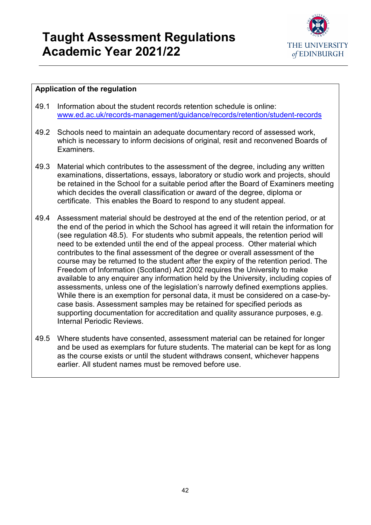

- 49.1 Information about the student records retention schedule is online: [www.ed.ac.uk/records-management/guidance/records/retention/student-records](http://www.ed.ac.uk/records-management/guidance/records/retention/student-records)
- 49.2 Schools need to maintain an adequate documentary record of assessed work, which is necessary to inform decisions of original, resit and reconvened Boards of **Examiners**
- 49.3 Material which contributes to the assessment of the degree, including any written examinations, dissertations, essays, laboratory or studio work and projects, should be retained in the School for a suitable period after the Board of Examiners meeting which decides the overall classification or award of the degree, diploma or certificate. This enables the Board to respond to any student appeal.
- 49.4 Assessment material should be destroyed at the end of the retention period, or at the end of the period in which the School has agreed it will retain the information for (see regulation 48.5). For students who submit appeals, the retention period will need to be extended until the end of the appeal process. Other material which contributes to the final assessment of the degree or overall assessment of the course may be returned to the student after the expiry of the retention period. The Freedom of Information (Scotland) Act 2002 requires the University to make available to any enquirer any information held by the University, including copies of assessments, unless one of the legislation's narrowly defined exemptions applies. While there is an exemption for personal data, it must be considered on a case-bycase basis. Assessment samples may be retained for specified periods as supporting documentation for accreditation and quality assurance purposes, e.g. Internal Periodic Reviews.
- 49.5 Where students have consented, assessment material can be retained for longer and be used as exemplars for future students. The material can be kept for as long as the course exists or until the student withdraws consent, whichever happens earlier. All student names must be removed before use.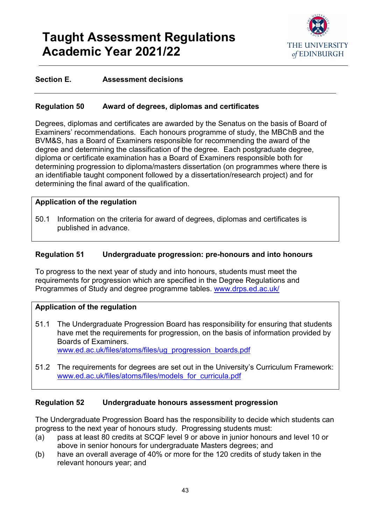

#### **Section E. Assessment decisions**

#### <span id="page-42-0"></span>**Regulation 50 Award of degrees, diplomas and certificates**

Degrees, diplomas and certificates are awarded by the Senatus on the basis of Board of Examiners' recommendations. Each honours programme of study, the MBChB and the BVM&S, has a Board of Examiners responsible for recommending the award of the degree and determining the classification of the degree. Each postgraduate degree, diploma or certificate examination has a Board of Examiners responsible both for determining progression to diploma/masters dissertation (on programmes where there is an identifiable taught component followed by a dissertation/research project) and for determining the final award of the qualification.

#### **Application of the regulation**

50.1 Information on the criteria for award of degrees, diplomas and certificates is published in advance.

#### <span id="page-42-1"></span>**Regulation 51 Undergraduate progression: pre-honours and into honours**

To progress to the next year of study and into honours, students must meet the requirements for progression which are specified in the Degree Regulations and Programmes of Study and degree programme tables. [www.drps.ed.ac.uk/](http://www.drps.ed.ac.uk/)

#### **Application of the regulation**

51.1 The Undergraduate Progression Board has responsibility for ensuring that students have met the requirements for progression, on the basis of information provided by Boards of Examiners. [www.ed.ac.uk/files/atoms/files/ug\\_progression\\_boards.pdf](http://www.ed.ac.uk/files/atoms/files/ug_progression_boards.pdf)

51.2 The requirements for degrees are set out in the University's Curriculum Framework: [www.ed.ac.uk/files/atoms/files/models\\_for\\_curricula.pdf](http://www.ed.ac.uk/files/atoms/files/models_for_curricula.pdf)

#### <span id="page-42-2"></span>**Regulation 52 Undergraduate honours assessment progression**

The Undergraduate Progression Board has the responsibility to decide which students can progress to the next year of honours study. Progressing students must:

- (a) pass at least 80 credits at SCQF level 9 or above in junior honours and level 10 or above in senior honours for undergraduate Masters degrees; and
- (b) have an overall average of 40% or more for the 120 credits of study taken in the relevant honours year; and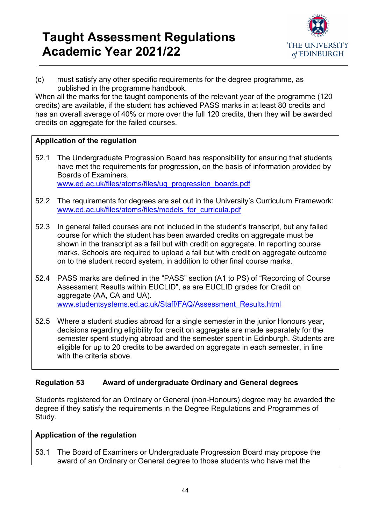

(c) must satisfy any other specific requirements for the degree programme, as published in the programme handbook.

When all the marks for the taught components of the relevant year of the programme (120 credits) are available, if the student has achieved PASS marks in at least 80 credits and has an overall average of 40% or more over the full 120 credits, then they will be awarded credits on aggregate for the failed courses.

### **Application of the regulation**

- 52.1 The Undergraduate Progression Board has responsibility for ensuring that students have met the requirements for progression, on the basis of information provided by Boards of Examiners. [www.ed.ac.uk/files/atoms/files/ug\\_progression\\_boards.pdf](http://www.ed.ac.uk/files/atoms/files/ug_progression_boards.pdf)
- 52.2 The requirements for degrees are set out in the University's Curriculum Framework: [www.ed.ac.uk/files/atoms/files/models\\_for\\_curricula.pdf](http://www.ed.ac.uk/files/atoms/files/models_for_curricula.pdf)
- 52.3 In general failed courses are not included in the student's transcript, but any failed course for which the student has been awarded credits on aggregate must be shown in the transcript as a fail but with credit on aggregate. In reporting course marks, Schools are required to upload a fail but with credit on aggregate outcome on to the student record system, in addition to other final course marks.
- 52.4 PASS marks are defined in the "PASS" section (A1 to PS) of "Recording of Course Assessment Results within EUCLID", as are EUCLID grades for Credit on aggregate (AA, CA and UA). [www.studentsystems.ed.ac.uk/Staff/FAQ/Assessment\\_Results.html](http://www.studentsystems.ed.ac.uk/Staff/FAQ/Assessment_Results.html)
- 52.5 Where a student studies abroad for a single semester in the junior Honours year, decisions regarding eligibility for credit on aggregate are made separately for the semester spent studying abroad and the semester spent in Edinburgh. Students are eligible for up to 20 credits to be awarded on aggregate in each semester, in line with the criteria above.

### <span id="page-43-0"></span>**Regulation 53 Award of undergraduate Ordinary and General degrees**

Students registered for an Ordinary or General (non-Honours) degree may be awarded the degree if they satisfy the requirements in the Degree Regulations and Programmes of Study.

### **Application of the regulation**

53.1 The Board of Examiners or Undergraduate Progression Board may propose the award of an Ordinary or General degree to those students who have met the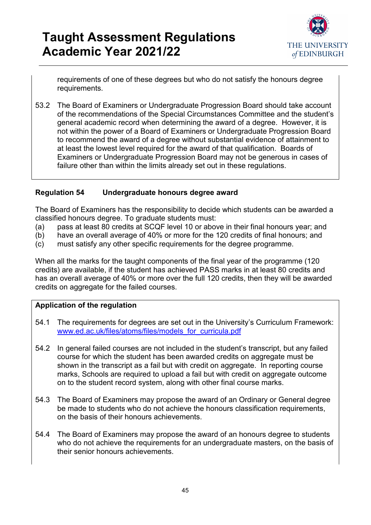

requirements of one of these degrees but who do not satisfy the honours degree requirements.

53.2 The Board of Examiners or Undergraduate Progression Board should take account of the recommendations of the Special Circumstances Committee and the student's general academic record when determining the award of a degree. However, it is not within the power of a Board of Examiners or Undergraduate Progression Board to recommend the award of a degree without substantial evidence of attainment to at least the lowest level required for the award of that qualification. Boards of Examiners or Undergraduate Progression Board may not be generous in cases of failure other than within the limits already set out in these regulations.

#### <span id="page-44-0"></span>**Regulation 54 Undergraduate honours degree award**

The Board of Examiners has the responsibility to decide which students can be awarded a classified honours degree. To graduate students must:

- (a) pass at least 80 credits at SCQF level 10 or above in their final honours year; and
- (b) have an overall average of 40% or more for the 120 credits of final honours; and
- (c) must satisfy any other specific requirements for the degree programme.

When all the marks for the taught components of the final year of the programme (120 credits) are available, if the student has achieved PASS marks in at least 80 credits and has an overall average of 40% or more over the full 120 credits, then they will be awarded credits on aggregate for the failed courses.

- 54.1 The requirements for degrees are set out in the University's Curriculum Framework: [www.ed.ac.uk/files/atoms/files/models\\_for\\_curricula.pdf](http://www.ed.ac.uk/files/atoms/files/models_for_curricula.pdf)
- 54.2 In general failed courses are not included in the student's transcript, but any failed course for which the student has been awarded credits on aggregate must be shown in the transcript as a fail but with credit on aggregate. In reporting course marks, Schools are required to upload a fail but with credit on aggregate outcome on to the student record system, along with other final course marks.
- 54.3 The Board of Examiners may propose the award of an Ordinary or General degree be made to students who do not achieve the honours classification requirements, on the basis of their honours achievements.
- 54.4 The Board of Examiners may propose the award of an honours degree to students who do not achieve the requirements for an undergraduate masters, on the basis of their senior honours achievements.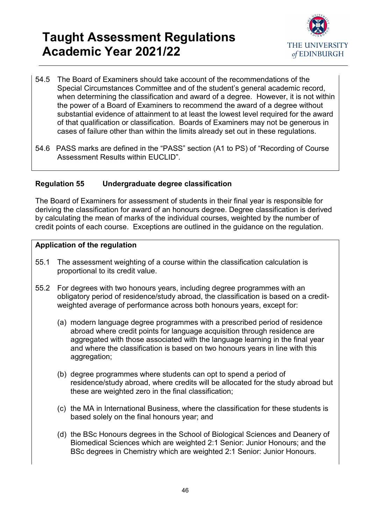

- 54.5 The Board of Examiners should take account of the recommendations of the Special Circumstances Committee and of the student's general academic record, when determining the classification and award of a degree. However, it is not within the power of a Board of Examiners to recommend the award of a degree without substantial evidence of attainment to at least the lowest level required for the award of that qualification or classification. Boards of Examiners may not be generous in cases of failure other than within the limits already set out in these regulations.
- 54.6 PASS marks are defined in the "PASS" section (A1 to PS) of "Recording of Course Assessment Results within EUCLID".

### <span id="page-45-0"></span>**Regulation 55 Undergraduate degree classification**

The Board of Examiners for assessment of students in their final year is responsible for deriving the classification for award of an honours degree. Degree classification is derived by calculating the mean of marks of the individual courses, weighted by the number of credit points of each course. Exceptions are outlined in the guidance on the regulation.

- 55.1 The assessment weighting of a course within the classification calculation is proportional to its credit value.
- 55.2 For degrees with two honours years, including degree programmes with an obligatory period of residence/study abroad, the classification is based on a creditweighted average of performance across both honours years, except for:
	- (a) modern language degree programmes with a prescribed period of residence abroad where credit points for language acquisition through residence are aggregated with those associated with the language learning in the final year and where the classification is based on two honours years in line with this aggregation;
	- (b) degree programmes where students can opt to spend a period of residence/study abroad, where credits will be allocated for the study abroad but these are weighted zero in the final classification;
	- (c) the MA in International Business, where the classification for these students is based solely on the final honours year; and
	- (d) the BSc Honours degrees in the School of Biological Sciences and Deanery of Biomedical Sciences which are weighted 2:1 Senior: Junior Honours; and the BSc degrees in Chemistry which are weighted 2:1 Senior: Junior Honours.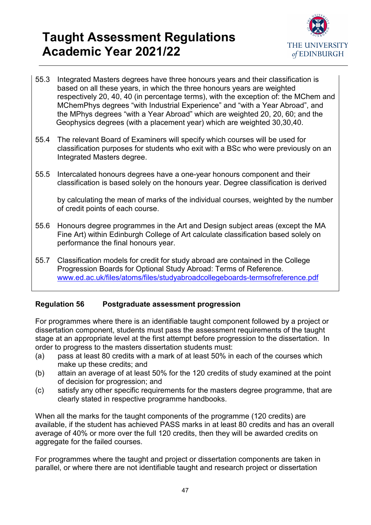

- 55.3 Integrated Masters degrees have three honours years and their classification is based on all these years, in which the three honours years are weighted respectively 20, 40, 40 (in percentage terms), with the exception of: the MChem and MChemPhys degrees "with Industrial Experience" and "with a Year Abroad", and the MPhys degrees "with a Year Abroad" which are weighted 20, 20, 60; and the Geophysics degrees (with a placement year) which are weighted 30,30,40.
- 55.4 The relevant Board of Examiners will specify which courses will be used for classification purposes for students who exit with a BSc who were previously on an Integrated Masters degree.
- 55.5 Intercalated honours degrees have a one-year honours component and their classification is based solely on the honours year. Degree classification is derived

by calculating the mean of marks of the individual courses, weighted by the number of credit points of each course.

- 55.6 Honours degree programmes in the Art and Design subject areas (except the MA Fine Art) within Edinburgh College of Art calculate classification based solely on performance the final honours year.
- 55.7 Classification models for credit for study abroad are contained in the College Progression Boards for Optional Study Abroad: Terms of Reference. [www.ed.ac.uk/files/atoms/files/studyabroadcollegeboards-termsofreference.pdf](http://www.ed.ac.uk/files/atoms/files/studyabroadcollegeboards-termsofreference.pdf)

### <span id="page-46-0"></span>**Regulation 56 Postgraduate assessment progression**

For programmes where there is an identifiable taught component followed by a project or dissertation component, students must pass the assessment requirements of the taught stage at an appropriate level at the first attempt before progression to the dissertation. In order to progress to the masters dissertation students must:

- (a) pass at least 80 credits with a mark of at least 50% in each of the courses which make up these credits; and
- (b) attain an average of at least 50% for the 120 credits of study examined at the point of decision for progression; and
- (c) satisfy any other specific requirements for the masters degree programme, that are clearly stated in respective programme handbooks.

When all the marks for the taught components of the programme (120 credits) are available, if the student has achieved PASS marks in at least 80 credits and has an overall average of 40% or more over the full 120 credits, then they will be awarded credits on aggregate for the failed courses.

For programmes where the taught and project or dissertation components are taken in parallel, or where there are not identifiable taught and research project or dissertation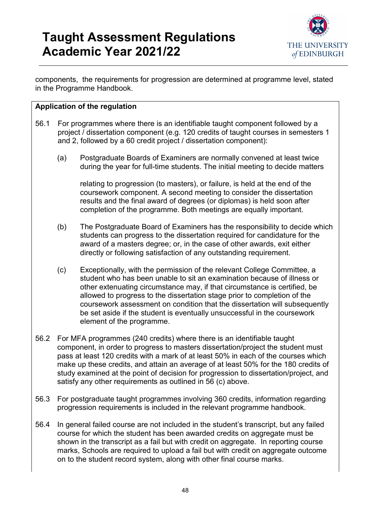

components, the requirements for progression are determined at programme level, stated in the Programme Handbook.

### **Application of the regulation**

- 56.1 For programmes where there is an identifiable taught component followed by a project / dissertation component (e.g. 120 credits of taught courses in semesters 1 and 2, followed by a 60 credit project / dissertation component):
	- (a) Postgraduate Boards of Examiners are normally convened at least twice during the year for full-time students. The initial meeting to decide matters

relating to progression (to masters), or failure, is held at the end of the coursework component. A second meeting to consider the dissertation results and the final award of degrees (or diplomas) is held soon after completion of the programme. Both meetings are equally important.

- (b) The Postgraduate Board of Examiners has the responsibility to decide which students can progress to the dissertation required for candidature for the award of a masters degree; or, in the case of other awards, exit either directly or following satisfaction of any outstanding requirement.
- (c) Exceptionally, with the permission of the relevant College Committee, a student who has been unable to sit an examination because of illness or other extenuating circumstance may, if that circumstance is certified, be allowed to progress to the dissertation stage prior to completion of the coursework assessment on condition that the dissertation will subsequently be set aside if the student is eventually unsuccessful in the coursework element of the programme.
- 56.2 For MFA programmes (240 credits) where there is an identifiable taught component, in order to progress to masters dissertation/project the student must pass at least 120 credits with a mark of at least 50% in each of the courses which make up these credits, and attain an average of at least 50% for the 180 credits of study examined at the point of decision for progression to dissertation/project, and satisfy any other requirements as outlined in 56 (c) above.
- 56.3 For postgraduate taught programmes involving 360 credits, information regarding progression requirements is included in the relevant programme handbook.
- 56.4 In general failed course are not included in the student's transcript, but any failed course for which the student has been awarded credits on aggregate must be shown in the transcript as a fail but with credit on aggregate. In reporting course marks, Schools are required to upload a fail but with credit on aggregate outcome on to the student record system, along with other final course marks.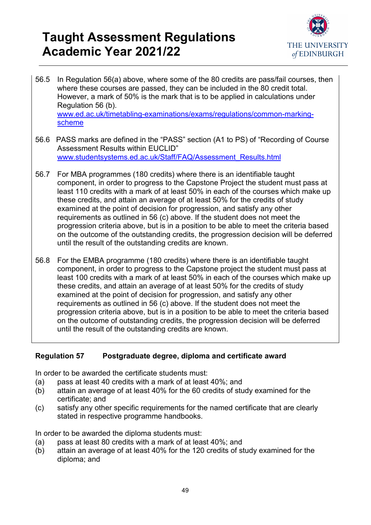

56.5 In Regulation 56(a) above, where some of the 80 credits are pass/fail courses, then where these courses are passed, they can be included in the 80 credit total. However, a mark of 50% is the mark that is to be applied in calculations under Regulation 56 (b). [www.ed.ac.uk/timetabling-examinations/exams/regulations/common-marking](http://www.ed.ac.uk/timetabling-examinations/exams/regulations/common-marking-scheme)[scheme](http://www.ed.ac.uk/timetabling-examinations/exams/regulations/common-marking-scheme)

- 56.6 PASS marks are defined in the "PASS" section (A1 to PS) of "Recording of Course Assessment Results within EUCLID" [www.studentsystems.ed.ac.uk/Staff/FAQ/Assessment\\_Results.html](http://www.studentsystems.ed.ac.uk/Staff/FAQ/Assessment_Results.html)
- 56.7 For MBA programmes (180 credits) where there is an identifiable taught component, in order to progress to the Capstone Project the student must pass at least 110 credits with a mark of at least 50% in each of the courses which make up these credits, and attain an average of at least 50% for the credits of study examined at the point of decision for progression, and satisfy any other requirements as outlined in 56 (c) above. If the student does not meet the progression criteria above, but is in a position to be able to meet the criteria based on the outcome of the outstanding credits, the progression decision will be deferred until the result of the outstanding credits are known.
- 56.8 For the EMBA programme (180 credits) where there is an identifiable taught component, in order to progress to the Capstone project the student must pass at least 100 credits with a mark of at least 50% in each of the courses which make up these credits, and attain an average of at least 50% for the credits of study examined at the point of decision for progression, and satisfy any other requirements as outlined in 56 (c) above. If the student does not meet the progression criteria above, but is in a position to be able to meet the criteria based on the outcome of outstanding credits, the progression decision will be deferred until the result of the outstanding credits are known.

### <span id="page-48-0"></span>**Regulation 57 Postgraduate degree, diploma and certificate award**

In order to be awarded the certificate students must:

- (a) pass at least 40 credits with a mark of at least 40%; and
- (b) attain an average of at least 40% for the 60 credits of study examined for the certificate; and
- (c) satisfy any other specific requirements for the named certificate that are clearly stated in respective programme handbooks.

In order to be awarded the diploma students must:

- (a) pass at least 80 credits with a mark of at least 40%; and
- (b) attain an average of at least 40% for the 120 credits of study examined for the diploma; and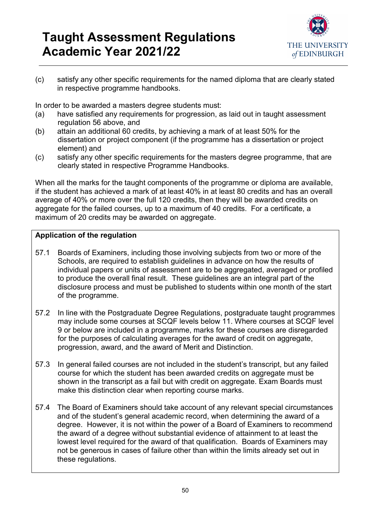

(c) satisfy any other specific requirements for the named diploma that are clearly stated in respective programme handbooks.

In order to be awarded a masters degree students must:

- (a) have satisfied any requirements for progression, as laid out in taught assessment regulation 56 above, and
- (b) attain an additional 60 credits, by achieving a mark of at least 50% for the dissertation or project component (if the programme has a dissertation or project element) and
- (c) satisfy any other specific requirements for the masters degree programme, that are clearly stated in respective Programme Handbooks.

When all the marks for the taught components of the programme or diploma are available, if the student has achieved a mark of at least 40% in at least 80 credits and has an overall average of 40% or more over the full 120 credits, then they will be awarded credits on aggregate for the failed courses, up to a maximum of 40 credits. For a certificate, a maximum of 20 credits may be awarded on aggregate.

- 57.1 Boards of Examiners, including those involving subjects from two or more of the Schools, are required to establish guidelines in advance on how the results of individual papers or units of assessment are to be aggregated, averaged or profiled to produce the overall final result. These guidelines are an integral part of the disclosure process and must be published to students within one month of the start of the programme.
- 57.2 In line with the Postgraduate Degree Regulations, postgraduate taught programmes may include some courses at SCQF levels below 11. Where courses at SCQF level 9 or below are included in a programme, marks for these courses are disregarded for the purposes of calculating averages for the award of credit on aggregate, progression, award, and the award of Merit and Distinction.
- 57.3 In general failed courses are not included in the student's transcript, but any failed course for which the student has been awarded credits on aggregate must be shown in the transcript as a fail but with credit on aggregate. Exam Boards must make this distinction clear when reporting course marks.
- 57.4 The Board of Examiners should take account of any relevant special circumstances and of the student's general academic record, when determining the award of a degree. However, it is not within the power of a Board of Examiners to recommend the award of a degree without substantial evidence of attainment to at least the lowest level required for the award of that qualification. Boards of Examiners may not be generous in cases of failure other than within the limits already set out in these regulations.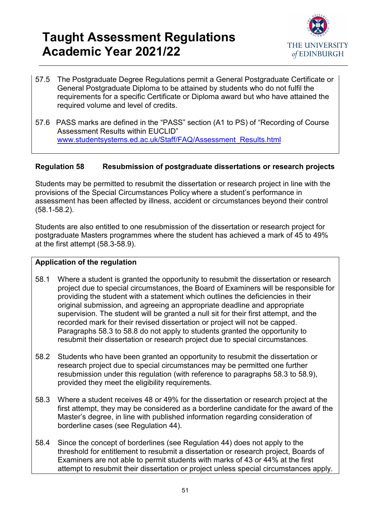

- 57.5 The Postgraduate Degree Regulations permit a General Postgraduate Certificate or General Postgraduate Diploma to be attained by students who do not fulfil the requirements for a specific Certificate or Diploma award but who have attained the required volume and level of credits.
- 57.6 PASS marks are defined in the "PASS" section (A1 to PS) of "Recording of Course Assessment Results within EUCLID" [www.studentsystems.ed.ac.uk/Staff/FAQ/Assessment\\_Results.html](http://www.studentsystems.ed.ac.uk/Staff/FAQ/Assessment_Results.html)

### <span id="page-50-0"></span>**Regulation 58 Resubmission of postgraduate dissertations or research projects**

Students may be permitted to resubmit the dissertation or research project in line with the provisions of the Special Circumstances Policy where a student's performance in assessment has been affected by illness, accident or circumstances beyond their control (58.1-58.2).

Students are also entitled to one resubmission of the dissertation or research project for postgraduate Masters programmes where the student has achieved a mark of 45 to 49% at the first attempt (58.3-58.9).

- 58.1 Where a student is granted the opportunity to resubmit the dissertation or research project due to special circumstances, the Board of Examiners will be responsible for providing the student with a statement which outlines the deficiencies in their original submission, and agreeing an appropriate deadline and appropriate supervision. The student will be granted a null sit for their first attempt, and the recorded mark for their revised dissertation or project will not be capped. Paragraphs 58.3 to 58.8 do not apply to students granted the opportunity to resubmit their dissertation or research project due to special circumstances.
- 58.2 Students who have been granted an opportunity to resubmit the dissertation or research project due to special circumstances may be permitted one further resubmission under this regulation (with reference to paragraphs 58.3 to 58.9), provided they meet the eligibility requirements.
- 58.3 Where a student receives 48 or 49% for the dissertation or research project at the first attempt, they may be considered as a borderline candidate for the award of the Master's degree, in line with published information regarding consideration of borderline cases (see Regulation 44).
- 58.4 Since the concept of borderlines (see Regulation 44) does not apply to the threshold for entitlement to resubmit a dissertation or research project, Boards of Examiners are not able to permit students with marks of 43 or 44% at the first attempt to resubmit their dissertation or project unless special circumstances apply.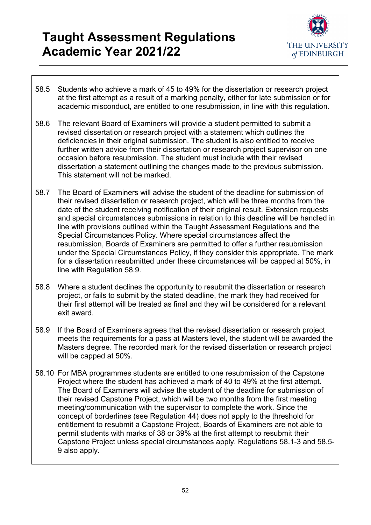

- 58.5 Students who achieve a mark of 45 to 49% for the dissertation or research project at the first attempt as a result of a marking penalty, either for late submission or for academic misconduct, are entitled to one resubmission, in line with this regulation.
- 58.6 The relevant Board of Examiners will provide a student permitted to submit a revised dissertation or research project with a statement which outlines the deficiencies in their original submission. The student is also entitled to receive further written advice from their dissertation or research project supervisor on one occasion before resubmission. The student must include with their revised dissertation a statement outlining the changes made to the previous submission. This statement will not be marked.
- 58.7 The Board of Examiners will advise the student of the deadline for submission of their revised dissertation or research project, which will be three months from the date of the student receiving notification of their original result. Extension requests and special circumstances submissions in relation to this deadline will be handled in line with provisions outlined within the Taught Assessment Regulations and the Special Circumstances Policy. Where special circumstances affect the resubmission, Boards of Examiners are permitted to offer a further resubmission under the Special Circumstances Policy, if they consider this appropriate. The mark for a dissertation resubmitted under these circumstances will be capped at 50%, in line with Regulation 58.9.
- 58.8 Where a student declines the opportunity to resubmit the dissertation or research project, or fails to submit by the stated deadline, the mark they had received for their first attempt will be treated as final and they will be considered for a relevant exit award.
- 58.9 If the Board of Examiners agrees that the revised dissertation or research project meets the requirements for a pass at Masters level, the student will be awarded the Masters degree. The recorded mark for the revised dissertation or research project will be capped at 50%.
- <span id="page-51-0"></span>58.10 For MBA programmes students are entitled to one resubmission of the Capstone Project where the student has achieved a mark of 40 to 49% at the first attempt. The Board of Examiners will advise the student of the deadline for submission of their revised Capstone Project, which will be two months from the first meeting meeting/communication with the supervisor to complete the work. Since the concept of borderlines (see Regulation 44) does not apply to the threshold for entitlement to resubmit a Capstone Project, Boards of Examiners are not able to permit students with marks of 38 or 39% at the first attempt to resubmit their Capstone Project unless special circumstances apply. Regulations 58.1-3 and 58.5- 9 also apply.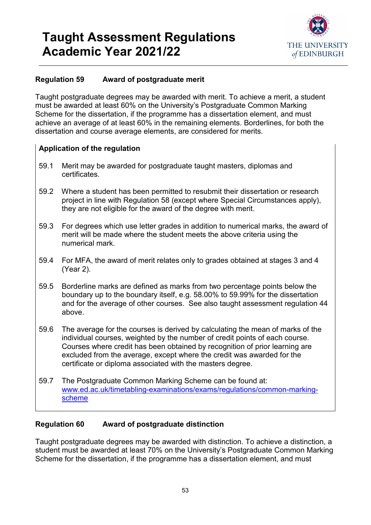

### **Regulation 59 Award of postgraduate merit**

Taught postgraduate degrees may be awarded with merit. To achieve a merit, a student must be awarded at least 60% on the University's Postgraduate Common Marking Scheme for the dissertation, if the programme has a dissertation element, and must achieve an average of at least 60% in the remaining elements. Borderlines, for both the dissertation and course average elements, are considered for merits.

### **Application of the regulation**

- 59.1 Merit may be awarded for postgraduate taught masters, diplomas and certificates.
- 59.2 Where a student has been permitted to resubmit their dissertation or research project in line with Regulation 58 (except where Special Circumstances apply), they are not eligible for the award of the degree with merit.
- 59.3 For degrees which use letter grades in addition to numerical marks, the award of merit will be made where the student meets the above criteria using the numerical mark.
- 59.4 For MFA, the award of merit relates only to grades obtained at stages 3 and 4 (Year 2).
- 59.5 Borderline marks are defined as marks from two percentage points below the boundary up to the boundary itself, e.g. 58.00% to 59.99% for the dissertation and for the average of other courses. See also taught assessment regulation 44 above.
- 59.6 The average for the courses is derived by calculating the mean of marks of the individual courses, weighted by the number of credit points of each course. Courses where credit has been obtained by recognition of prior learning are excluded from the average, except where the credit was awarded for the certificate or diploma associated with the masters degree.
- 59.7 The Postgraduate Common Marking Scheme can be found at: [www.ed.ac.uk/timetabling-examinations/exams/regulations/common-marking](http://www.ed.ac.uk/timetabling-examinations/exams/regulations/common-marking-scheme)[scheme](http://www.ed.ac.uk/timetabling-examinations/exams/regulations/common-marking-scheme)

### <span id="page-52-0"></span>**Regulation 60 Award of postgraduate distinction**

Taught postgraduate degrees may be awarded with distinction. To achieve a distinction, a student must be awarded at least 70% on the University's Postgraduate Common Marking Scheme for the dissertation, if the programme has a dissertation element, and must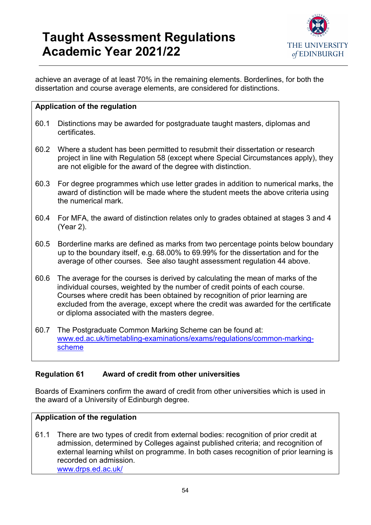

achieve an average of at least 70% in the remaining elements. Borderlines, for both the dissertation and course average elements, are considered for distinctions.

#### **Application of the regulation**

- 60.1 Distinctions may be awarded for postgraduate taught masters, diplomas and certificates.
- 60.2 Where a student has been permitted to resubmit their dissertation or research project in line with Regulation 58 (except where Special Circumstances apply), they are not eligible for the award of the degree with distinction.
- 60.3 For degree programmes which use letter grades in addition to numerical marks, the award of distinction will be made where the student meets the above criteria using the numerical mark.
- 60.4 For MFA, the award of distinction relates only to grades obtained at stages 3 and 4 (Year 2).
- 60.5 Borderline marks are defined as marks from two percentage points below boundary up to the boundary itself, e.g. 68.00% to 69.99% for the dissertation and for the average of other courses. See also taught assessment regulation 44 above.
- 60.6 The average for the courses is derived by calculating the mean of marks of the individual courses, weighted by the number of credit points of each course. Courses where credit has been obtained by recognition of prior learning are excluded from the average, except where the credit was awarded for the certificate or diploma associated with the masters degree.
- 60.7 The Postgraduate Common Marking Scheme can be found at: [www.ed.ac.uk/timetabling-examinations/exams/regulations/common-marking](http://www.ed.ac.uk/timetabling-examinations/exams/regulations/common-marking-scheme)[scheme](http://www.ed.ac.uk/timetabling-examinations/exams/regulations/common-marking-scheme)

### <span id="page-53-0"></span>**Regulation 61 Award of credit from other universities**

Boards of Examiners confirm the award of credit from other universities which is used in the award of a University of Edinburgh degree.

#### **Application of the regulation**

61.1 There are two types of credit from external bodies: recognition of prior credit at admission, determined by Colleges against published criteria; and recognition of external learning whilst on programme. In both cases recognition of prior learning is recorded on admission. [www.drps.ed.ac.uk/](http://www.drps.ed.ac.uk/)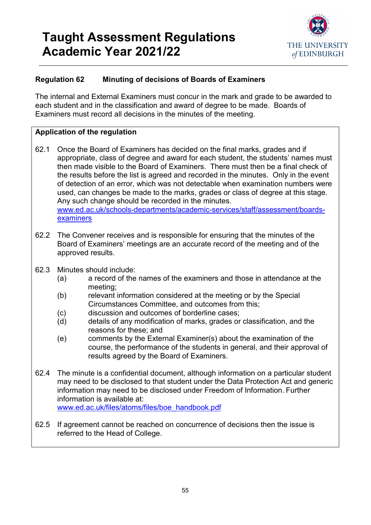

### <span id="page-54-0"></span>**Regulation 62 Minuting of decisions of Boards of Examiners**

The internal and External Examiners must concur in the mark and grade to be awarded to each student and in the classification and award of degree to be made. Boards of Examiners must record all decisions in the minutes of the meeting.

- 62.1 Once the Board of Examiners has decided on the final marks, grades and if appropriate, class of degree and award for each student, the students' names must then made visible to the Board of Examiners. There must then be a final check of the results before the list is agreed and recorded in the minutes. Only in the event of detection of an error, which was not detectable when examination numbers were used, can changes be made to the marks, grades or class of degree at this stage. Any such change should be recorded in the minutes. [www.ed.ac.uk/schools-departments/academic-services/staff/assessment/boards](http://www.ed.ac.uk/schools-departments/academic-services/staff/assessment/boards-examiners)[examiners](http://www.ed.ac.uk/schools-departments/academic-services/staff/assessment/boards-examiners)
- 62.2 The Convener receives and is responsible for ensuring that the minutes of the Board of Examiners' meetings are an accurate record of the meeting and of the approved results.
- 62.3 Minutes should include:
	- (a) a record of the names of the examiners and those in attendance at the meeting;
	- (b) relevant information considered at the meeting or by the Special Circumstances Committee, and outcomes from this;
	- (c) discussion and outcomes of borderline cases;
	- (d) details of any modification of marks, grades or classification, and the reasons for these; and
	- (e) comments by the External Examiner(s) about the examination of the course, the performance of the students in general, and their approval of results agreed by the Board of Examiners.
- 62.4 The minute is a confidential document, although information on a particular student may need to be disclosed to that student under the Data Protection Act and generic information may need to be disclosed under Freedom of Information. Further information is available at: [www.ed.ac.uk/files/atoms/files/boe\\_handbook.pdf](http://www.ed.ac.uk/files/atoms/files/boe_handbook.pdf)
- 62.5 If agreement cannot be reached on concurrence of decisions then the issue is referred to the Head of College.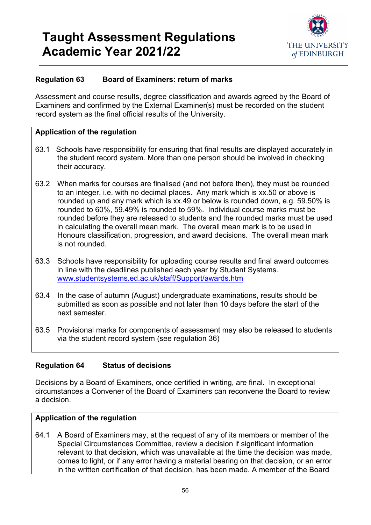

### <span id="page-55-0"></span>**Regulation 63 Board of Examiners: return of marks**

Assessment and course results, degree classification and awards agreed by the Board of Examiners and confirmed by the External Examiner(s) must be recorded on the student record system as the final official results of the University.

#### **Application of the regulation**

- 63.1 Schools have responsibility for ensuring that final results are displayed accurately in the student record system. More than one person should be involved in checking their accuracy.
- 63.2 When marks for courses are finalised (and not before then), they must be rounded to an integer, i.e. with no decimal places. Any mark which is xx.50 or above is rounded up and any mark which is xx.49 or below is rounded down, e.g. 59.50% is rounded to 60%, 59.49% is rounded to 59%. Individual course marks must be rounded before they are released to students and the rounded marks must be used in calculating the overall mean mark. The overall mean mark is to be used in Honours classification, progression, and award decisions. The overall mean mark is not rounded.
- 63.3 Schools have responsibility for uploading course results and final award outcomes in line with the deadlines published each year by Student Systems. [www.studentsystems.ed.ac.uk/staff/Support/awards.htm](http://www.studentsystems.ed.ac.uk/staff/Support/awards.htm)
- 63.4 In the case of autumn (August) undergraduate examinations, results should be submitted as soon as possible and not later than 10 days before the start of the next semester.
- <span id="page-55-1"></span>63.5 Provisional marks for components of assessment may also be released to students via the student record system (see regulation 36)

#### **Regulation 64 Status of decisions**

Decisions by a Board of Examiners, once certified in writing, are final. In exceptional circumstances a Convener of the Board of Examiners can reconvene the Board to review a decision.

#### **Application of the regulation**

64.1 A Board of Examiners may, at the request of any of its members or member of the Special Circumstances Committee, review a decision if significant information relevant to that decision, which was unavailable at the time the decision was made, comes to light, or if any error having a material bearing on that decision, or an error in the written certification of that decision, has been made. A member of the Board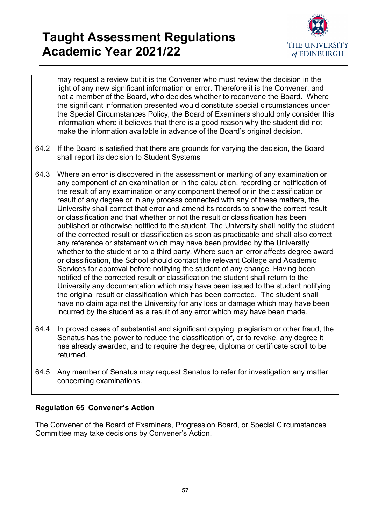

may request a review but it is the Convener who must review the decision in the light of any new significant information or error. Therefore it is the Convener, and not a member of the Board, who decides whether to reconvene the Board. Where the significant information presented would constitute special circumstances under the Special Circumstances Policy, the Board of Examiners should only consider this information where it believes that there is a good reason why the student did not make the information available in advance of the Board's original decision.

- 64.2 If the Board is satisfied that there are grounds for varying the decision, the Board shall report its decision to Student Systems
- 64.3 Where an error is discovered in the assessment or marking of any examination or any component of an examination or in the calculation, recording or notification of the result of any examination or any component thereof or in the classification or result of any degree or in any process connected with any of these matters, the University shall correct that error and amend its records to show the correct result or classification and that whether or not the result or classification has been published or otherwise notified to the student. The University shall notify the student of the corrected result or classification as soon as practicable and shall also correct any reference or statement which may have been provided by the University whether to the student or to a third party. Where such an error affects degree award or classification, the School should contact the relevant College and Academic Services for approval before notifying the student of any change. Having been notified of the corrected result or classification the student shall return to the University any documentation which may have been issued to the student notifying the original result or classification which has been corrected. The student shall have no claim against the University for any loss or damage which may have been incurred by the student as a result of any error which may have been made.
- 64.4 In proved cases of substantial and significant copying, plagiarism or other fraud, the Senatus has the power to reduce the classification of, or to revoke, any degree it has already awarded, and to require the degree, diploma or certificate scroll to be returned.
- 64.5 Any member of Senatus may request Senatus to refer for investigation any matter concerning examinations.

### <span id="page-56-0"></span>**Regulation 65 Convener's Action**

The Convener of the Board of Examiners, Progression Board, or Special Circumstances Committee may take decisions by Convener's Action.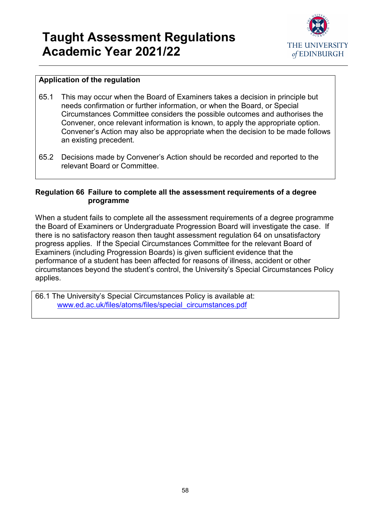

### **Application of the regulation**

- 65.1 This may occur when the Board of Examiners takes a decision in principle but needs confirmation or further information, or when the Board, or Special Circumstances Committee considers the possible outcomes and authorises the Convener, once relevant information is known, to apply the appropriate option. Convener's Action may also be appropriate when the decision to be made follows an existing precedent.
- 65.2 Decisions made by Convener's Action should be recorded and reported to the relevant Board or Committee.

#### <span id="page-57-0"></span>**Regulation 66 Failure to complete all the assessment requirements of a degree programme**

When a student fails to complete all the assessment requirements of a degree programme the Board of Examiners or Undergraduate Progression Board will investigate the case. If there is no satisfactory reason then taught assessment regulation 64 on unsatisfactory progress applies. If the Special Circumstances Committee for the relevant Board of Examiners (including Progression Boards) is given sufficient evidence that the performance of a student has been affected for reasons of illness, accident or other circumstances beyond the student's control, the University's Special Circumstances Policy applies.

66.1 The University's Special Circumstances Policy is available at: [www.ed.ac.uk/files/atoms/files/special\\_circumstances.pdf](http://www.ed.ac.uk/files/atoms/files/special_circumstances.pdf)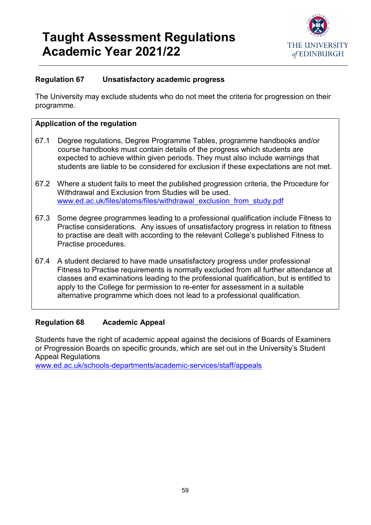

### <span id="page-58-0"></span>**Regulation 67 Unsatisfactory academic progress**

The University may exclude students who do not meet the criteria for progression on their programme.

### **Application of the regulation**

- 67.1 Degree regulations, Degree Programme Tables, programme handbooks and/or course handbooks must contain details of the progress which students are expected to achieve within given periods. They must also include warnings that students are liable to be considered for exclusion if these expectations are not met.
- 67.2 Where a student fails to meet the published progression criteria, the Procedure for Withdrawal and Exclusion from Studies will be used. [www.ed.ac.uk/files/atoms/files/withdrawal\\_exclusion\\_from\\_study.pdf](http://www.ed.ac.uk/files/atoms/files/withdrawal_exclusion_from_study.pdf)
- 67.3 Some degree programmes leading to a professional qualification include Fitness to Practise considerations. Any issues of unsatisfactory progress in relation to fitness to practise are dealt with according to the relevant College's published Fitness to Practise procedures.
- 67.4 A student declared to have made unsatisfactory progress under professional Fitness to Practise requirements is normally excluded from all further attendance at classes and examinations leading to the professional qualification, but is entitled to apply to the College for permission to re-enter for assessment in a suitable alternative programme which does not lead to a professional qualification.

### <span id="page-58-1"></span>**Regulation 68 Academic Appeal**

Students have the right of academic appeal against the decisions of Boards of Examiners or Progression Boards on specific grounds, which are set out in the University's Student Appeal Regulations

[www.ed.ac.uk/schools-departments/academic-services/staff/appeals](http://www.ed.ac.uk/schools-departments/academic-services/staff/appeals)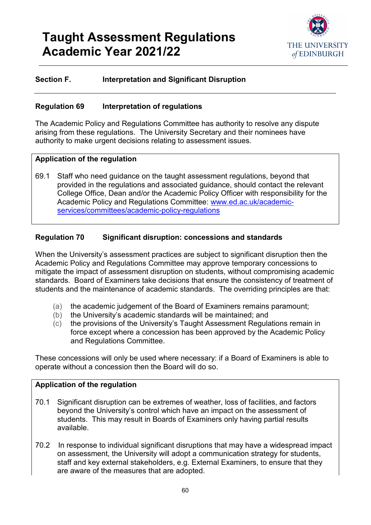

### **Section F. Interpretation and Significant Disruption**

#### <span id="page-59-0"></span>**Regulation 69 Interpretation of regulations**

The Academic Policy and Regulations Committee has authority to resolve any dispute arising from these regulations. The University Secretary and their nominees have authority to make urgent decisions relating to assessment issues.

#### **Application of the regulation**

69.1 Staff who need guidance on the taught assessment regulations, beyond that provided in the regulations and associated guidance, should contact the relevant College Office, Dean and/or the Academic Policy Officer with responsibility for the Academic Policy and Regulations Committee: [www.ed.ac.uk/academic](http://www.ed.ac.uk/academic-services/committees/academic-policy-regulations)[services/committees/academic-policy-regulations](http://www.ed.ac.uk/academic-services/committees/academic-policy-regulations)

### <span id="page-59-1"></span>**Regulation 70 Significant disruption: concessions and standards**

When the University's assessment practices are subject to significant disruption then the Academic Policy and Regulations Committee may approve temporary concessions to mitigate the impact of assessment disruption on students, without compromising academic standards. Board of Examiners take decisions that ensure the consistency of treatment of students and the maintenance of academic standards. The overriding principles are that:

- (a) the academic judgement of the Board of Examiners remains paramount;
- (b) the University's academic standards will be maintained; and
- (c) the provisions of the University's Taught Assessment Regulations remain in force except where a concession has been approved by the Academic Policy and Regulations Committee.

These concessions will only be used where necessary: if a Board of Examiners is able to operate without a concession then the Board will do so.

- 70.1 Significant disruption can be extremes of weather, loss of facilities, and factors beyond the University's control which have an impact on the assessment of students. This may result in Boards of Examiners only having partial results available.
- 70.2 In response to individual significant disruptions that may have a widespread impact on assessment, the University will adopt a communication strategy for students, staff and key external stakeholders, e.g. External Examiners, to ensure that they are aware of the measures that are adopted.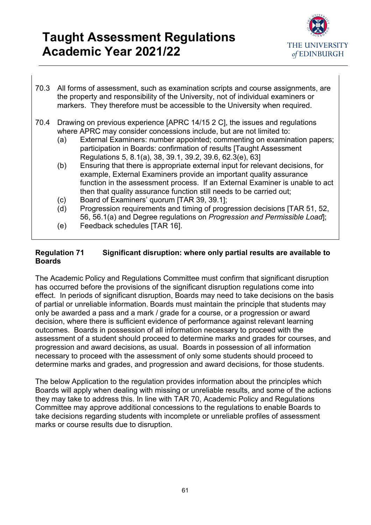

- 70.3 All forms of assessment, such as examination scripts and course assignments, are the property and responsibility of the University, not of individual examiners or markers. They therefore must be accessible to the University when required.
- 70.4 Drawing on previous experience [APRC 14/15 2 C], the issues and regulations where APRC may consider concessions include, but are not limited to:
	- (a) External Examiners: number appointed; commenting on examination papers; participation in Boards: confirmation of results [Taught Assessment Regulations 5, 8.1(a), 38, 39.1, 39.2, 39.6, 62.3(e), 63]
	- (b) Ensuring that there is appropriate external input for relevant decisions, for example, External Examiners provide an important quality assurance function in the assessment process. If an External Examiner is unable to act then that quality assurance function still needs to be carried out;
	- (c) Board of Examiners' quorum [TAR 39, 39.1];
	- (d) Progression requirements and timing of progression decisions [TAR 51, 52, 56, 56.1(a) and Degree regulations on *Progression and Permissible Load*];
	- (e) Feedback schedules [TAR 16].

### <span id="page-60-0"></span>**Regulation 71 Significant disruption: where only partial results are available to Boards**

The Academic Policy and Regulations Committee must confirm that significant disruption has occurred before the provisions of the significant disruption regulations come into effect. In periods of significant disruption, Boards may need to take decisions on the basis of partial or unreliable information. Boards must maintain the principle that students may only be awarded a pass and a mark / grade for a course, or a progression or award decision, where there is sufficient evidence of performance against relevant learning outcomes. Boards in possession of all information necessary to proceed with the assessment of a student should proceed to determine marks and grades for courses, and progression and award decisions, as usual. Boards in possession of all information necessary to proceed with the assessment of only some students should proceed to determine marks and grades, and progression and award decisions, for those students.

The below Application to the regulation provides information about the principles which Boards will apply when dealing with missing or unreliable results, and some of the actions they may take to address this. In line with TAR 70, Academic Policy and Regulations Committee may approve additional concessions to the regulations to enable Boards to take decisions regarding students with incomplete or unreliable profiles of assessment marks or course results due to disruption.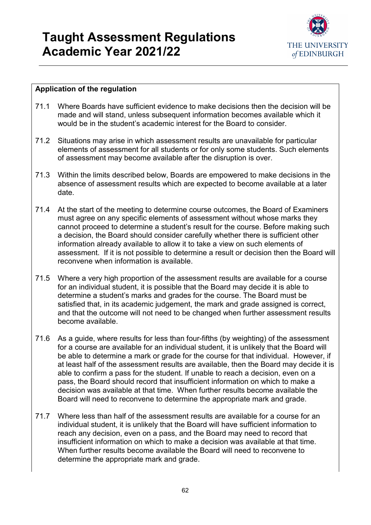

- 71.1 Where Boards have sufficient evidence to make decisions then the decision will be made and will stand, unless subsequent information becomes available which it would be in the student's academic interest for the Board to consider.
- 71.2 Situations may arise in which assessment results are unavailable for particular elements of assessment for all students or for only some students. Such elements of assessment may become available after the disruption is over.
- 71.3 Within the limits described below, Boards are empowered to make decisions in the absence of assessment results which are expected to become available at a later date.
- 71.4 At the start of the meeting to determine course outcomes, the Board of Examiners must agree on any specific elements of assessment without whose marks they cannot proceed to determine a student's result for the course. Before making such a decision, the Board should consider carefully whether there is sufficient other information already available to allow it to take a view on such elements of assessment. If it is not possible to determine a result or decision then the Board will reconvene when information is available.
- 71.5 Where a very high proportion of the assessment results are available for a course for an individual student, it is possible that the Board may decide it is able to determine a student's marks and grades for the course. The Board must be satisfied that, in its academic judgement, the mark and grade assigned is correct, and that the outcome will not need to be changed when further assessment results become available.
- 71.6 As a guide, where results for less than four-fifths (by weighting) of the assessment for a course are available for an individual student, it is unlikely that the Board will be able to determine a mark or grade for the course for that individual. However, if at least half of the assessment results are available, then the Board may decide it is able to confirm a pass for the student. If unable to reach a decision, even on a pass, the Board should record that insufficient information on which to make a decision was available at that time. When further results become available the Board will need to reconvene to determine the appropriate mark and grade.
- 71.7 Where less than half of the assessment results are available for a course for an individual student, it is unlikely that the Board will have sufficient information to reach any decision, even on a pass, and the Board may need to record that insufficient information on which to make a decision was available at that time. When further results become available the Board will need to reconvene to determine the appropriate mark and grade.